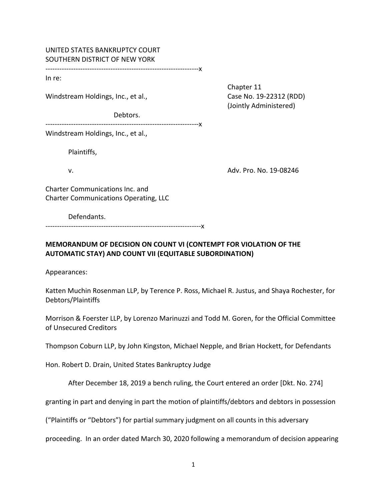## UNITED STATES BANKRUPTCY COURT SOUTHERN DISTRICT OF NEW YORK

‐‐‐‐‐‐‐‐‐‐‐‐‐‐‐‐‐‐‐‐‐‐‐‐‐‐‐‐‐‐‐‐‐‐‐‐‐‐‐‐‐‐‐‐‐‐‐‐‐‐‐‐‐‐‐‐‐‐‐‐‐‐‐‐‐‐x

In re:

Windstream Holdings, Inc., et al., Case No. 19‐22312 (RDD)

Debtors.

 Chapter 11 (Jointly Administered)

‐‐‐‐‐‐‐‐‐‐‐‐‐‐‐‐‐‐‐‐‐‐‐‐‐‐‐‐‐‐‐‐‐‐‐‐‐‐‐‐‐‐‐‐‐‐‐‐‐‐‐‐‐‐‐‐‐‐‐‐‐‐‐‐‐‐x

Windstream Holdings, Inc., et al.,

Plaintiffs,

v. Adv. Pro. No. 19‐08246

Charter Communications Inc. and Charter Communications Operating, LLC

Defendants.

‐‐‐‐‐‐‐‐‐‐‐‐‐‐‐‐‐‐‐‐‐‐‐‐‐‐‐‐‐‐‐‐‐‐‐‐‐‐‐‐‐‐‐‐‐‐‐‐‐‐‐‐‐‐‐‐‐‐‐‐‐‐‐‐‐‐‐x

# **MEMORANDUM OF DECISION ON COUNT VI (CONTEMPT FOR VIOLATION OF THE AUTOMATIC STAY) AND COUNT VII (EQUITABLE SUBORDINATION)**

Appearances:

Katten Muchin Rosenman LLP, by Terence P. Ross, Michael R. Justus, and Shaya Rochester, for Debtors/Plaintiffs

Morrison & Foerster LLP, by Lorenzo Marinuzzi and Todd M. Goren, for the Official Committee of Unsecured Creditors

Thompson Coburn LLP, by John Kingston, Michael Nepple, and Brian Hockett, for Defendants

Hon. Robert D. Drain, United States Bankruptcy Judge

After December 18, 2019 a bench ruling, the Court entered an order [Dkt. No. 274]

granting in part and denying in part the motion of plaintiffs/debtors and debtors in possession

("Plaintiffs or "Debtors") for partial summary judgment on all counts in this adversary

proceeding. In an order dated March 30, 2020 following a memorandum of decision appearing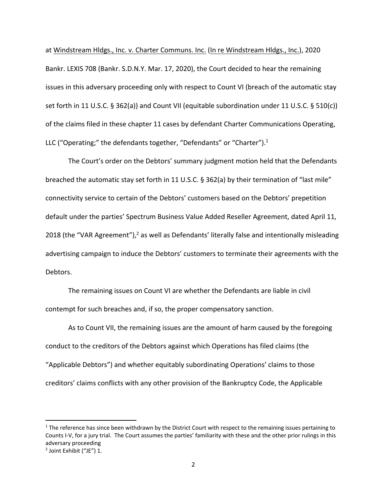at Windstream Hldgs., Inc. v. Charter Communs. Inc. (In re Windstream Hldgs., Inc.), 2020 Bankr. LEXIS 708 (Bankr. S.D.N.Y. Mar. 17, 2020), the Court decided to hear the remaining issues in this adversary proceeding only with respect to Count VI (breach of the automatic stay set forth in 11 U.S.C. § 362(a)) and Count VII (equitable subordination under 11 U.S.C. § 510(c)) of the claims filed in these chapter 11 cases by defendant Charter Communications Operating, LLC ("Operating;" the defendants together, "Defendants" or "Charter"). $^{1}$ 

The Court's order on the Debtors' summary judgment motion held that the Defendants breached the automatic stay set forth in 11 U.S.C. § 362(a) by their termination of "last mile" connectivity service to certain of the Debtors' customers based on the Debtors' prepetition default under the parties' Spectrum Business Value Added Reseller Agreement, dated April 11, 2018 (the "VAR Agreement"),<sup>2</sup> as well as Defendants' literally false and intentionally misleading advertising campaign to induce the Debtors' customers to terminate their agreements with the Debtors.

The remaining issues on Count VI are whether the Defendants are liable in civil contempt for such breaches and, if so, the proper compensatory sanction.

As to Count VII, the remaining issues are the amount of harm caused by the foregoing conduct to the creditors of the Debtors against which Operations has filed claims (the "Applicable Debtors") and whether equitably subordinating Operations' claims to those creditors' claims conflicts with any other provision of the Bankruptcy Code, the Applicable

 $1$  The reference has since been withdrawn by the District Court with respect to the remaining issues pertaining to Counts I‐V, for a jury trial. The Court assumes the parties' familiarity with these and the other prior rulings in this adversary proceeding

<sup>2</sup> Joint Exhibit ("JE") 1.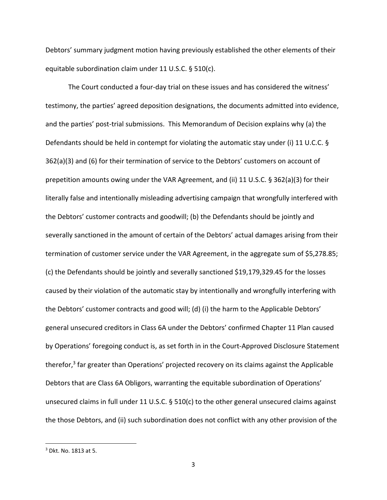Debtors' summary judgment motion having previously established the other elements of their equitable subordination claim under 11 U.S.C. § 510(c).

The Court conducted a four‐day trial on these issues and has considered the witness' testimony, the parties' agreed deposition designations, the documents admitted into evidence, and the parties' post-trial submissions. This Memorandum of Decision explains why (a) the Defendants should be held in contempt for violating the automatic stay under (i) 11 U.C.C. § 362(a)(3) and (6) for their termination of service to the Debtors' customers on account of prepetition amounts owing under the VAR Agreement, and (ii) 11 U.S.C. § 362(a)(3) for their literally false and intentionally misleading advertising campaign that wrongfully interfered with the Debtors' customer contracts and goodwill; (b) the Defendants should be jointly and severally sanctioned in the amount of certain of the Debtors' actual damages arising from their termination of customer service under the VAR Agreement, in the aggregate sum of \$5,278.85; (c) the Defendants should be jointly and severally sanctioned \$19,179,329.45 for the losses caused by their violation of the automatic stay by intentionally and wrongfully interfering with the Debtors' customer contracts and good will; (d) (i) the harm to the Applicable Debtors' general unsecured creditors in Class 6A under the Debtors' confirmed Chapter 11 Plan caused by Operations' foregoing conduct is, as set forth in in the Court‐Approved Disclosure Statement therefor, $3$  far greater than Operations' projected recovery on its claims against the Applicable Debtors that are Class 6A Obligors, warranting the equitable subordination of Operations' unsecured claims in full under 11 U.S.C. § 510(c) to the other general unsecured claims against the those Debtors, and (ii) such subordination does not conflict with any other provision of the

<sup>3</sup> Dkt. No. 1813 at 5.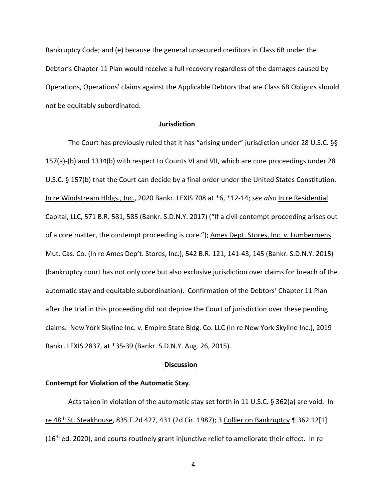Bankruptcy Code; and (e) because the general unsecured creditors in Class 6B under the Debtor's Chapter 11 Plan would receive a full recovery regardless of the damages caused by Operations, Operations' claims against the Applicable Debtors that are Class 6B Obligors should not be equitably subordinated.

#### **Jurisdiction**

The Court has previously ruled that it has "arising under" jurisdiction under 28 U.S.C. §§ 157(a)‐(b) and 1334(b) with respect to Counts VI and VII, which are core proceedings under 28 U.S.C. § 157(b) that the Court can decide by a final order under the United States Constitution. In re Windstream Hldgs., Inc., 2020 Bankr. LEXIS 708 at \*6, \*12‐14; *see also* In re Residential Capital, LLC, 571 B.R. 581, 585 (Bankr. S.D.N.Y. 2017) ("If a civil contempt proceeding arises out of a core matter, the contempt proceeding is core."); Ames Dept. Stores, Inc. v. Lumbermens Mut. Cas. Co. (In re Ames Dep't. Stores, Inc.), 542 B.R. 121, 141‐43, 145 (Bankr. S.D.N.Y. 2015) (bankruptcy court has not only core but also exclusive jurisdiction over claims for breach of the automatic stay and equitable subordination). Confirmation of the Debtors' Chapter 11 Plan after the trial in this proceeding did not deprive the Court of jurisdiction over these pending claims. New York Skyline Inc. v. Empire State Bldg. Co. LLC (In re New York Skyline Inc.), 2019 Bankr. LEXIS 2837, at \*35‐39 (Bankr. S.D.N.Y. Aug. 26, 2015).

#### **Discussion**

### **Contempt for Violation of the Automatic Stay**.

Acts taken in violation of the automatic stay set forth in 11 U.S.C. § 362(a) are void. In re 48th St. Steakhouse, 835 F.2d 427, 431 (2d Cir. 1987); 3 Collier on Bankruptcy ¶ 362.12[1] (16<sup>th</sup> ed. 2020), and courts routinely grant injunctive relief to ameliorate their effect. In re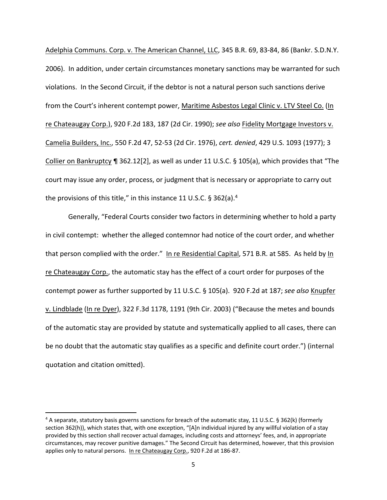Adelphia Communs. Corp. v. The American Channel, LLC, 345 B.R. 69, 83‐84, 86 (Bankr. S.D.N.Y. 2006). In addition, under certain circumstances monetary sanctions may be warranted for such violations. In the Second Circuit, if the debtor is not a natural person such sanctions derive from the Court's inherent contempt power, Maritime Asbestos Legal Clinic v. LTV Steel Co. (In re Chateaugay Corp.), 920 F.2d 183, 187 (2d Cir. 1990); *see also* Fidelity Mortgage Investors v. Camelia Builders, Inc., 550 F.2d 47, 52‐53 (2d Cir. 1976), *cert. denied*, 429 U.S. 1093 (1977); 3 Collier on Bankruptcy ¶ 362.12[2], as well as under 11 U.S.C. § 105(a), which provides that "The court may issue any order, process, or judgment that is necessary or appropriate to carry out the provisions of this title," in this instance 11 U.S.C.  $\S 362(a)$ .<sup>4</sup>

Generally, "Federal Courts consider two factors in determining whether to hold a party in civil contempt: whether the alleged contemnor had notice of the court order, and whether that person complied with the order." In re Residential Capital, 571 B.R. at 585. As held by In re Chateaugay Corp., the automatic stay has the effect of a court order for purposes of the contempt power as further supported by 11 U.S.C. § 105(a). 920 F.2d at 187; *see also* Knupfer v. Lindblade (In re Dyer), 322 F.3d 1178, 1191 (9th Cir. 2003) ("Because the metes and bounds of the automatic stay are provided by statute and systematically applied to all cases, there can be no doubt that the automatic stay qualifies as a specific and definite court order.") (internal quotation and citation omitted).

<sup>4</sup> A separate, statutory basis governs sanctions for breach of the automatic stay, 11 U.S.C. § 362(k) (formerly section 362(h)), which states that, with one exception, "[A]n individual injured by any willful violation of a stay provided by this section shall recover actual damages, including costs and attorneys' fees, and, in appropriate circumstances, may recover punitive damages." The Second Circuit has determined, however, that this provision applies only to natural persons. In re Chateaugay Corp., 920 F.2d at 186‐87.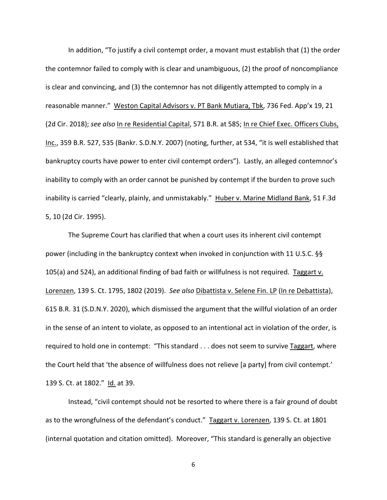In addition, "To justify a civil contempt order, a movant must establish that (1) the order the contemnor failed to comply with is clear and unambiguous, (2) the proof of noncompliance is clear and convincing, and (3) the contemnor has not diligently attempted to comply in a reasonable manner." Weston Capital Advisors v. PT Bank Mutiara, Tbk, 736 Fed. App'x 19, 21 (2d Cir. 2018); *see also* In re Residential Capital, 571 B.R. at 585; In re Chief Exec. Officers Clubs, Inc., 359 B.R. 527, 535 (Bankr. S.D.N.Y. 2007) (noting, further, at 534, "it is well established that bankruptcy courts have power to enter civil contempt orders"). Lastly, an alleged contemnor's inability to comply with an order cannot be punished by contempt if the burden to prove such inability is carried "clearly, plainly, and unmistakably." Huber v. Marine Midland Bank, 51 F.3d 5, 10 (2d Cir. 1995).

The Supreme Court has clarified that when a court uses its inherent civil contempt power (including in the bankruptcy context when invoked in conjunction with 11 U.S.C. §§ 105(a) and 524), an additional finding of bad faith or willfulness is not required. Taggart v. Lorenzen, 139 S. Ct. 1795, 1802 (2019). *See also* Dibattista v. Selene Fin. LP (In re Debattista), 615 B.R. 31 (S.D.N.Y. 2020), which dismissed the argument that the willful violation of an order in the sense of an intent to violate, as opposed to an intentional act in violation of the order, is required to hold one in contempt: "This standard . . . does not seem to survive Taggart, where the Court held that 'the absence of willfulness does not relieve [a party] from civil contempt.' 139 S. Ct. at 1802." Id. at 39.

Instead, "civil contempt should not be resorted to where there is a fair ground of doubt as to the wrongfulness of the defendant's conduct." Taggart v. Lorenzen, 139 S. Ct. at 1801 (internal quotation and citation omitted). Moreover, "This standard is generally an objective

6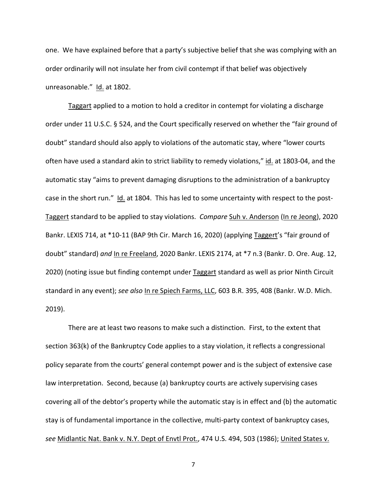one. We have explained before that a party's subjective belief that she was complying with an order ordinarily will not insulate her from civil contempt if that belief was objectively unreasonable." Id. at 1802.

Taggart applied to a motion to hold a creditor in contempt for violating a discharge order under 11 U.S.C. § 524, and the Court specifically reserved on whether the "fair ground of doubt" standard should also apply to violations of the automatic stay, where "lower courts often have used a standard akin to strict liability to remedy violations," id. at 1803‐04, and the automatic stay "aims to prevent damaging disruptions to the administration of a bankruptcy case in the short run." Id. at 1804. This has led to some uncertainty with respect to the post-Taggert standard to be applied to stay violations. *Compare* Suh v. Anderson (In re Jeong), 2020 Bankr. LEXIS 714, at \*10-11 (BAP 9th Cir. March 16, 2020) (applying Taggert's "fair ground of doubt" standard) *and* In re Freeland, 2020 Bankr. LEXIS 2174, at \*7 n.3 (Bankr. D. Ore. Aug. 12, 2020) (noting issue but finding contempt under Taggart standard as well as prior Ninth Circuit standard in any event); *see also* In re Spiech Farms, LLC, 603 B.R. 395, 408 (Bankr. W.D. Mich. 2019).

There are at least two reasons to make such a distinction. First, to the extent that section 363(k) of the Bankruptcy Code applies to a stay violation, it reflects a congressional policy separate from the courts' general contempt power and is the subject of extensive case law interpretation. Second, because (a) bankruptcy courts are actively supervising cases covering all of the debtor's property while the automatic stay is in effect and (b) the automatic stay is of fundamental importance in the collective, multi‐party context of bankruptcy cases, *see* Midlantic Nat. Bank v. N.Y. Dept of Envtl Prot., 474 U.S. 494, 503 (1986); United States v.

7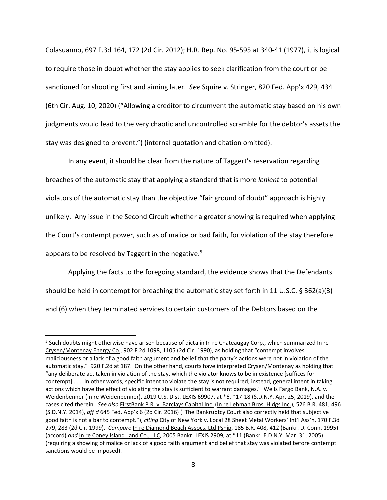Colasuanno, 697 F.3d 164, 172 (2d Cir. 2012); H.R. Rep. No. 95‐595 at 340‐41 (1977), it is logical to require those in doubt whether the stay applies to seek clarification from the court or be sanctioned for shooting first and aiming later. *See* Squire v. Stringer, 820 Fed. App'x 429, 434 (6th Cir. Aug. 10, 2020) ("Allowing a creditor to circumvent the automatic stay based on his own judgments would lead to the very chaotic and uncontrolled scramble for the debtor's assets the stay was designed to prevent.") (internal quotation and citation omitted).

In any event, it should be clear from the nature of Taggert's reservation regarding breaches of the automatic stay that applying a standard that is more *lenient* to potential violators of the automatic stay than the objective "fair ground of doubt" approach is highly unlikely. Any issue in the Second Circuit whether a greater showing is required when applying the Court's contempt power, such as of malice or bad faith, for violation of the stay therefore appears to be resolved by Taggert in the negative.<sup>5</sup>

Applying the facts to the foregoing standard, the evidence shows that the Defendants should be held in contempt for breaching the automatic stay set forth in 11 U.S.C. § 362(a)(3) and (6) when they terminated services to certain customers of the Debtors based on the

<sup>&</sup>lt;sup>5</sup> Such doubts might otherwise have arisen because of dicta in In re Chateaugay Corp., which summarized In re Crysen/Montenay Energy Co., 902 F.2d 1098, 1105 (2d Cir. 1990), as holding that "contempt involves maliciousness or a lack of a good faith argument and belief that the party's actions were not in violation of the automatic stay." 920 F.2d at 187. On the other hand, courts have interpreted Crysen/Montenay as holding that "any deliberate act taken in violation of the stay, which the violator knows to be in existence [suffices for contempt] . . . In other words, specific intent to violate the stay is not required; instead, general intent in taking actions which have the effect of violating the stay is sufficient to warrant damages." Wells Fargo Bank, N.A. v. Weidenbenner (In re Weidenbenner), 2019 U.S. Dist. LEXIS 69907, at \*6, \*17-18 (S.D.N.Y. Apr. 25, 2019), and the cases cited therein. *See also* FirstBank P.R. v. Barclays Capital Inc. (In re Lehman Bros. Hldgs Inc.), 526 B.R. 481, 496 (S.D.N.Y. 2014), *aff'd* 645 Fed. App'x 6 (2d Cir. 2016) ("The Bankruptcy Court also correctly held that subjective good faith is not a bar to contempt."), *citing* City of New York v. Local 28 Sheet Metal Workers' Int'l Ass'n, 170 F.3d 279, 283 (2d Cir. 1999). *Compare* In re Diamond Beach Assocs. Ltd Pship, 185 B.R. 408, 412 (Bankr. D. Conn. 1995) (accord) *and* In re Coney Island Land Co., LLC, 2005 Bankr. LEXIS 2909, at \*11 (Bankr. E.D.N.Y. Mar. 31, 2005) (requiring a showing of malice or lack of a good faith argument and belief that stay was violated before contempt sanctions would be imposed).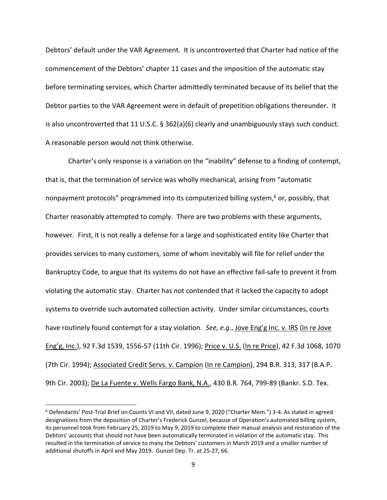Debtors' default under the VAR Agreement. It is uncontroverted that Charter had notice of the commencement of the Debtors' chapter 11 cases and the imposition of the automatic stay before terminating services, which Charter admittedly terminated because of its belief that the Debtor parties to the VAR Agreement were in default of prepetition obligations thereunder. It is also uncontroverted that 11 U.S.C. § 362(a)(6) clearly and unambiguously stays such conduct. A reasonable person would not think otherwise.

Charter's only response is a variation on the "inability" defense to a finding of contempt, that is, that the termination of service was wholly mechanical, arising from "automatic nonpayment protocols" programmed into its computerized billing system,<sup>6</sup> or, possibly, that Charter reasonably attempted to comply. There are two problems with these arguments, however. First, it is not really a defense for a large and sophisticated entity like Charter that provides services to many customers, some of whom inevitably will file for relief under the Bankruptcy Code, to argue that its systems do not have an effective fail‐safe to prevent it from violating the automatic stay. Charter has not contended that it lacked the capacity to adopt systems to override such automated collection activity. Under similar circumstances, courts have routinely found contempt for a stay violation. *See, e.g.*, Jove Eng'g Inc. v. IRS (In re Jove Eng'g, Inc.), 92 F.3d 1539, 1556‐57 (11th Cir. 1996); Price v. U.S. (In re Price), 42 F.3d 1068, 1070 (7th Cir. 1994); Associated Credit Servs. v. Campion (In re Campion), 294 B.R. 313, 317 (B.A.P. 9th Cir. 2003); De La Fuente v. Wells Fargo Bank, N.A., 430 B.R. 764, 799-89 (Bankr. S.D. Tex.

<sup>6</sup> Defendants' Post‐Trial Brief on Counts VI and VII, dated June 9, 2020 ("Charter Mem.") 3‐4. As stated in agreed designations from the deposition of Charter's Frederick Gunzel, because of Operation's automated billing system, its personnel took from February 25, 2019 to May 9, 2019 to complete their manual analysis and restoration of the Debtors' accounts that should not have been automatically terminated in violation of the automatic stay. This resulted in the termination of service to many the Debtors' customers in March 2019 and a smaller number of additional shutoffs in April and May 2019. Gunzel Dep. Tr. at 25‐27, 66.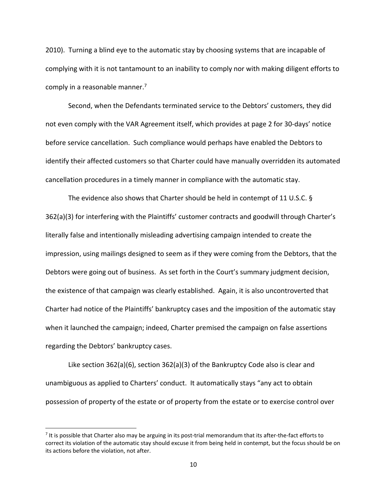2010). Turning a blind eye to the automatic stay by choosing systems that are incapable of complying with it is not tantamount to an inability to comply nor with making diligent efforts to comply in a reasonable manner.7

Second, when the Defendants terminated service to the Debtors' customers, they did not even comply with the VAR Agreement itself, which provides at page 2 for 30‐days' notice before service cancellation. Such compliance would perhaps have enabled the Debtors to identify their affected customers so that Charter could have manually overridden its automated cancellation procedures in a timely manner in compliance with the automatic stay.

The evidence also shows that Charter should be held in contempt of 11 U.S.C. § 362(a)(3) for interfering with the Plaintiffs' customer contracts and goodwill through Charter's literally false and intentionally misleading advertising campaign intended to create the impression, using mailings designed to seem as if they were coming from the Debtors, that the Debtors were going out of business. As set forth in the Court's summary judgment decision, the existence of that campaign was clearly established. Again, it is also uncontroverted that Charter had notice of the Plaintiffs' bankruptcy cases and the imposition of the automatic stay when it launched the campaign; indeed, Charter premised the campaign on false assertions regarding the Debtors' bankruptcy cases.

Like section 362(a)(6), section 362(a)(3) of the Bankruptcy Code also is clear and unambiguous as applied to Charters' conduct. It automatically stays "any act to obtain possession of property of the estate or of property from the estate or to exercise control over

<sup>&</sup>lt;sup>7</sup> It is possible that Charter also may be arguing in its post-trial memorandum that its after-the-fact efforts to correct its violation of the automatic stay should excuse it from being held in contempt, but the focus should be on its actions before the violation, not after.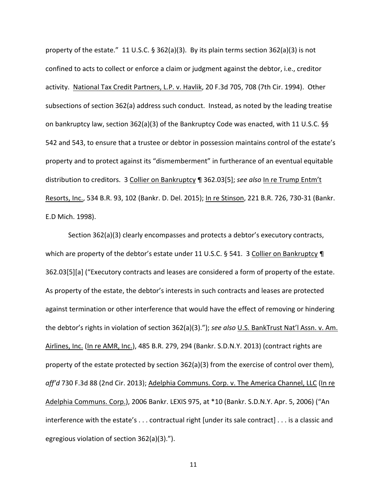property of the estate." 11 U.S.C.  $\S 362(a)(3)$ . By its plain terms section 362(a)(3) is not confined to acts to collect or enforce a claim or judgment against the debtor, i.e., creditor activity. National Tax Credit Partners, L.P. v. Havlik, 20 F.3d 705, 708 (7th Cir. 1994). Other subsections of section 362(a) address such conduct. Instead, as noted by the leading treatise on bankruptcy law, section 362(a)(3) of the Bankruptcy Code was enacted, with 11 U.S.C. §§ 542 and 543, to ensure that a trustee or debtor in possession maintains control of the estate's property and to protect against its "dismemberment" in furtherance of an eventual equitable distribution to creditors. 3 Collier on Bankruptcy ¶ 362.03[5]; *see also* In re Trump Entm't Resorts, Inc., 534 B.R. 93, 102 (Bankr. D. Del. 2015); In re Stinson, 221 B.R. 726, 730‐31 (Bankr. E.D Mich. 1998).

Section 362(a)(3) clearly encompasses and protects a debtor's executory contracts, which are property of the debtor's estate under 11 U.S.C. § 541. 3 Collier on Bankruptcy ¶ 362.03[5][a] ("Executory contracts and leases are considered a form of property of the estate. As property of the estate, the debtor's interests in such contracts and leases are protected against termination or other interference that would have the effect of removing or hindering the debtor's rights in violation of section 362(a)(3)."); *see also* U.S. BankTrust Nat'l Assn. v. Am. Airlines, Inc. (In re AMR, Inc.), 485 B.R. 279, 294 (Bankr. S.D.N.Y. 2013) (contract rights are property of the estate protected by section 362(a)(3) from the exercise of control over them), *aff'd* 730 F.3d 88 (2nd Cir. 2013); Adelphia Communs. Corp. v. The America Channel, LLC (In re Adelphia Communs. Corp.), 2006 Bankr. LEXIS 975, at \*10 (Bankr. S.D.N.Y. Apr. 5, 2006) ("An interference with the estate's . . . contractual right [under its sale contract] . . . is a classic and egregious violation of section 362(a)(3).").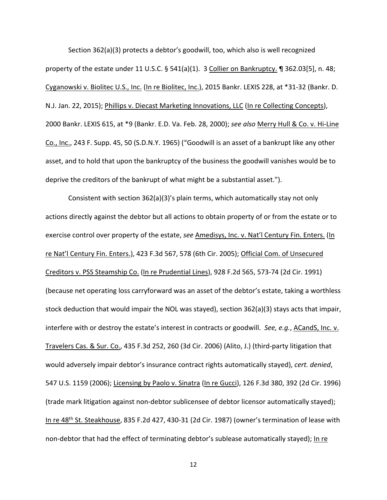Section 362(a)(3) protects a debtor's goodwill, too, which also is well recognized property of the estate under 11 U.S.C. § 541(a)(1). 3 Collier on Bankruptcy. ¶ 362.03[5], n. 48; Cyganowski v. Biolitec U.S., Inc. (In re Biolitec, Inc.), 2015 Bankr. LEXIS 228, at \*31‐32 (Bankr. D. N.J. Jan. 22, 2015); Phillips v. Diecast Marketing Innovations, LLC (In re Collecting Concepts), 2000 Bankr. LEXIS 615, at \*9 (Bankr. E.D. Va. Feb. 28, 2000); *see also* Merry Hull & Co. v. Hi‐Line Co., Inc., 243 F. Supp. 45, 50 (S.D.N.Y. 1965) ("Goodwill is an asset of a bankrupt like any other asset, and to hold that upon the bankruptcy of the business the goodwill vanishes would be to deprive the creditors of the bankrupt of what might be a substantial asset.").

Consistent with section 362(a)(3)'s plain terms, which automatically stay not only actions directly against the debtor but all actions to obtain property of or from the estate or to exercise control over property of the estate, *see* Amedisys, Inc. v. Nat'l Century Fin. Enters. (In re Nat'l Century Fin. Enters.), 423 F.3d 567, 578 (6th Cir. 2005); Official Com. of Unsecured Creditors v. PSS Steamship Co. (In re Prudential Lines), 928 F.2d 565, 573‐74 (2d Cir. 1991) (because net operating loss carryforward was an asset of the debtor's estate, taking a worthless stock deduction that would impair the NOL was stayed), section 362(a)(3) stays acts that impair, interfere with or destroy the estate's interest in contracts or goodwill. *See, e.g.*, ACandS, Inc. v. Travelers Cas. & Sur. Co., 435 F.3d 252, 260 (3d Cir. 2006) (Alito, J.) (third‐party litigation that would adversely impair debtor's insurance contract rights automatically stayed), *cert. denied*, 547 U.S. 1159 (2006); Licensing by Paolo v. Sinatra (In re Gucci), 126 F.3d 380, 392 (2d Cir. 1996) (trade mark litigation against non‐debtor sublicensee of debtor licensor automatically stayed); In re 48<sup>th</sup> St. Steakhouse, 835 F.2d 427, 430-31 (2d Cir. 1987) (owner's termination of lease with non-debtor that had the effect of terminating debtor's sublease automatically stayed); In re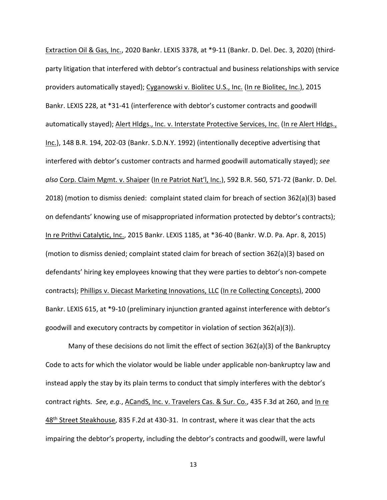Extraction Oil & Gas, Inc., 2020 Bankr. LEXIS 3378, at \*9-11 (Bankr. D. Del. Dec. 3, 2020) (thirdparty litigation that interfered with debtor's contractual and business relationships with service providers automatically stayed); Cyganowski v. Biolitec U.S., Inc. (In re Biolitec, Inc.), 2015 Bankr. LEXIS 228, at \*31‐41 (interference with debtor's customer contracts and goodwill automatically stayed); Alert Hldgs., Inc. v. Interstate Protective Services, Inc. (In re Alert Hldgs., Inc.), 148 B.R. 194, 202‐03 (Bankr. S.D.N.Y. 1992) (intentionally deceptive advertising that interfered with debtor's customer contracts and harmed goodwill automatically stayed); *see also* Corp. Claim Mgmt. v. Shaiper (In re Patriot Nat'l, Inc.), 592 B.R. 560, 571‐72 (Bankr. D. Del. 2018) (motion to dismiss denied: complaint stated claim for breach of section 362(a)(3) based on defendants' knowing use of misappropriated information protected by debtor's contracts); In re Prithvi Catalytic, Inc., 2015 Bankr. LEXIS 1185, at \*36‐40 (Bankr. W.D. Pa. Apr. 8, 2015) (motion to dismiss denied; complaint stated claim for breach of section 362(a)(3) based on defendants' hiring key employees knowing that they were parties to debtor's non‐compete contracts); Phillips v. Diecast Marketing Innovations, LLC (In re Collecting Concepts), 2000 Bankr. LEXIS 615, at \*9-10 (preliminary injunction granted against interference with debtor's goodwill and executory contracts by competitor in violation of section 362(a)(3)).

Many of these decisions do not limit the effect of section 362(a)(3) of the Bankruptcy Code to acts for which the violator would be liable under applicable non‐bankruptcy law and instead apply the stay by its plain terms to conduct that simply interferes with the debtor's contract rights. *See, e.g.*, ACandS, Inc. v. Travelers Cas. & Sur. Co., 435 F.3d at 260, and In re 48<sup>th</sup> Street Steakhouse, 835 F.2d at 430-31. In contrast, where it was clear that the acts impairing the debtor's property, including the debtor's contracts and goodwill, were lawful

13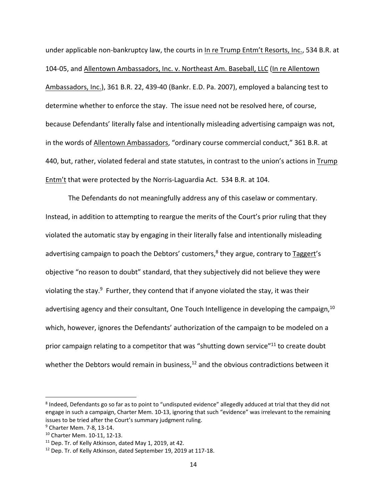under applicable non‐bankruptcy law, the courts in In re Trump Entm't Resorts, Inc., 534 B.R. at 104‐05, and Allentown Ambassadors, Inc. v. Northeast Am. Baseball, LLC (In re Allentown Ambassadors, Inc.), 361 B.R. 22, 439-40 (Bankr. E.D. Pa. 2007), employed a balancing test to determine whether to enforce the stay. The issue need not be resolved here, of course, because Defendants' literally false and intentionally misleading advertising campaign was not, in the words of Allentown Ambassadors, "ordinary course commercial conduct," 361 B.R. at 440, but, rather, violated federal and state statutes, in contrast to the union's actions in Trump Entm't that were protected by the Norris-Laguardia Act. 534 B.R. at 104.

The Defendants do not meaningfully address any of this caselaw or commentary. Instead, in addition to attempting to reargue the merits of the Court's prior ruling that they violated the automatic stay by engaging in their literally false and intentionally misleading advertising campaign to poach the Debtors' customers, $8$  they argue, contrary to Taggert's objective "no reason to doubt" standard, that they subjectively did not believe they were violating the stay.<sup>9</sup> Further, they contend that if anyone violated the stay, it was their advertising agency and their consultant, One Touch Intelligence in developing the campaign,  $10$ which, however, ignores the Defendants' authorization of the campaign to be modeled on a prior campaign relating to a competitor that was "shutting down service"<sup>11</sup> to create doubt whether the Debtors would remain in business, $12$  and the obvious contradictions between it

<sup>8</sup> Indeed, Defendants go so far as to point to "undisputed evidence" allegedly adduced at trial that they did not engage in such a campaign, Charter Mem. 10‐13, ignoring that such "evidence" was irrelevant to the remaining issues to be tried after the Court's summary judgment ruling.

<sup>9</sup> Charter Mem. 7‐8, 13‐14.

<sup>10</sup> Charter Mem. 10‐11, 12‐13.

<sup>11</sup> Dep. Tr. of Kelly Atkinson, dated May 1, 2019, at 42.

<sup>12</sup> Dep. Tr. of Kelly Atkinson, dated September 19, 2019 at 117‐18.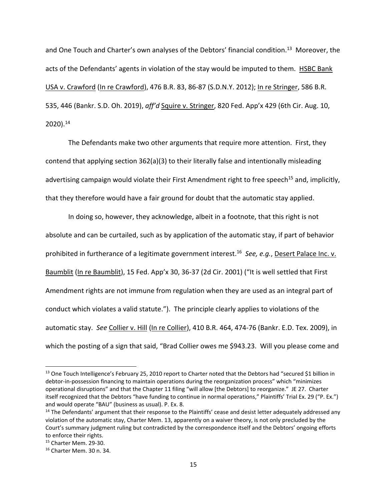and One Touch and Charter's own analyses of the Debtors' financial condition.<sup>13</sup> Moreover, the acts of the Defendants' agents in violation of the stay would be imputed to them. HSBC Bank USA v. Crawford (In re Crawford), 476 B.R. 83, 86‐87 (S.D.N.Y. 2012); In re Stringer, 586 B.R. 535, 446 (Bankr. S.D. Oh. 2019), *aff'd* Squire v. Stringer, 820 Fed. App'x 429 (6th Cir. Aug. 10,  $2020$ ).<sup>14</sup>

The Defendants make two other arguments that require more attention. First, they contend that applying section 362(a)(3) to their literally false and intentionally misleading advertising campaign would violate their First Amendment right to free speech<sup>15</sup> and, implicitly, that they therefore would have a fair ground for doubt that the automatic stay applied.

In doing so, however, they acknowledge, albeit in a footnote, that this right is not absolute and can be curtailed, such as by application of the automatic stay, if part of behavior prohibited in furtherance of a legitimate government interest.16 *See, e.g.*, Desert Palace Inc. v. Baumblit (In re Baumblit), 15 Fed. App'x 30, 36‐37 (2d Cir. 2001) ("It is well settled that First Amendment rights are not immune from regulation when they are used as an integral part of conduct which violates a valid statute."). The principle clearly applies to violations of the automatic stay. *See* Collier v. Hill (In re Collier), 410 B.R. 464, 474‐76 (Bankr. E.D. Tex. 2009), in which the posting of a sign that said, "Brad Collier owes me \$943.23. Will you please come and

<sup>&</sup>lt;sup>13</sup> One Touch Intelligence's February 25, 2010 report to Charter noted that the Debtors had "secured \$1 billion in debtor-in-possession financing to maintain operations during the reorganization process" which "minimizes operational disruptions" and that the Chapter 11 filing "will allow [the Debtors] to reorganize." JE 27. Charter itself recognized that the Debtors "have funding to continue in normal operations," Plaintiffs' Trial Ex. 29 ("P. Ex.") and would operate "BAU" (business as usual). P. Ex. 8.

<sup>&</sup>lt;sup>14</sup> The Defendants' argument that their response to the Plaintiffs' cease and desist letter adequately addressed any violation of the automatic stay, Charter Mem. 13, apparently on a waiver theory, is not only precluded by the Court's summary judgment ruling but contradicted by the correspondence itself and the Debtors' ongoing efforts to enforce their rights.

<sup>15</sup> Charter Mem. 29‐30.

<sup>16</sup> Charter Mem. 30 n. 34.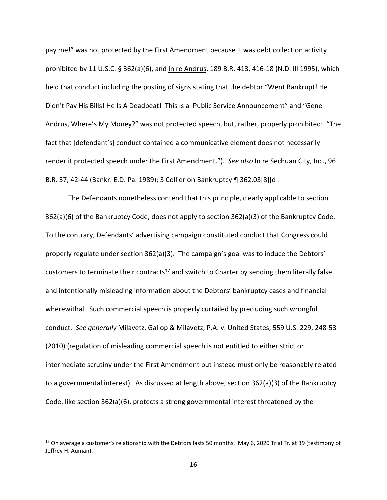pay me!" was not protected by the First Amendment because it was debt collection activity prohibited by 11 U.S.C. § 362(a)(6), and In re Andrus, 189 B.R. 413, 416‐18 (N.D. Ill 1995), which held that conduct including the posting of signs stating that the debtor "Went Bankrupt! He Didn't Pay His Bills! He Is A Deadbeat! This Is a Public Service Announcement" and "Gene Andrus, Where's My Money?" was not protected speech, but, rather, properly prohibited: "The fact that [defendant's] conduct contained a communicative element does not necessarily render it protected speech under the First Amendment."). *See also* In re Sechuan City, Inc., 96 B.R. 37, 42‐44 (Bankr. E.D. Pa. 1989); 3 Collier on Bankruptcy ¶ 362.03[8][d].

The Defendants nonetheless contend that this principle, clearly applicable to section 362(a)(6) of the Bankruptcy Code, does not apply to section 362(a)(3) of the Bankruptcy Code. To the contrary, Defendants' advertising campaign constituted conduct that Congress could properly regulate under section 362(a)(3). The campaign's goal was to induce the Debtors' customers to terminate their contracts<sup>17</sup> and switch to Charter by sending them literally false and intentionally misleading information about the Debtors' bankruptcy cases and financial wherewithal. Such commercial speech is properly curtailed by precluding such wrongful conduct. *See generally* Milavetz, Gallop & Milavetz, P.A. v. United States, 559 U.S. 229, 248‐53 (2010) (regulation of misleading commercial speech is not entitled to either strict or intermediate scrutiny under the First Amendment but instead must only be reasonably related to a governmental interest). As discussed at length above, section 362(a)(3) of the Bankruptcy Code, like section 362(a)(6), protects a strong governmental interest threatened by the

 $17$  On average a customer's relationship with the Debtors lasts 50 months. May 6, 2020 Trial Tr. at 39 (testimony of Jeffrey H. Auman).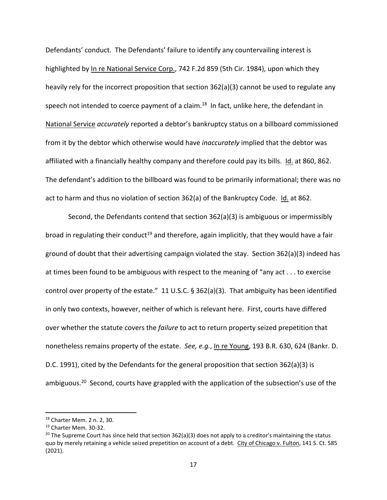Defendants' conduct. The Defendants' failure to identify any countervailing interest is highlighted by In re National Service Corp., 742 F.2d 859 (5th Cir. 1984), upon which they heavily rely for the incorrect proposition that section 362(a)(3) cannot be used to regulate any speech not intended to coerce payment of a claim.<sup>18</sup> In fact, unlike here, the defendant in National Service *accurately* reported a debtor's bankruptcy status on a billboard commissioned from it by the debtor which otherwise would have *inaccurately* implied that the debtor was affiliated with a financially healthy company and therefore could pay its bills. Id. at 860, 862. The defendant's addition to the billboard was found to be primarily informational; there was no act to harm and thus no violation of section 362(a) of the Bankruptcy Code. Id. at 862.

Second, the Defendants contend that section 362(a)(3) is ambiguous or impermissibly broad in regulating their conduct<sup>19</sup> and therefore, again implicitly, that they would have a fair ground of doubt that their advertising campaign violated the stay. Section 362(a)(3) indeed has at times been found to be ambiguous with respect to the meaning of "any act . . . to exercise control over property of the estate." 11 U.S.C. § 362(a)(3). That ambiguity has been identified in only two contexts, however, neither of which is relevant here. First, courts have differed over whether the statute covers the *failure* to act to return property seized prepetition that nonetheless remains property of the estate. *See, e.g.*, In re Young, 193 B.R. 630, 624 (Bankr. D. D.C. 1991), cited by the Defendants for the general proposition that section 362(a)(3) is ambiguous.<sup>20</sup> Second, courts have grappled with the application of the subsection's use of the

<sup>18</sup> Charter Mem. 2 n. 2, 30.

<sup>19</sup> Charter Mem. 30‐32.

<sup>&</sup>lt;sup>20</sup> The Supreme Court has since held that section 362(a)(3) does not apply to a creditor's maintaining the status quo by merely retaining a vehicle seized prepetition on account of a debt. City of Chicago v. Fulton, 141 S. Ct. 585 (2021).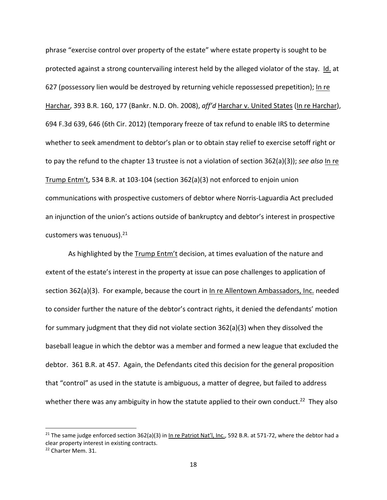phrase "exercise control over property of the estate" where estate property is sought to be protected against a strong countervailing interest held by the alleged violator of the stay. Id. at 627 (possessory lien would be destroyed by returning vehicle repossessed prepetition); In re Harchar, 393 B.R. 160, 177 (Bankr. N.D. Oh. 2008), *aff'd* Harchar v. United States (In re Harchar), 694 F.3d 639, 646 (6th Cir. 2012) (temporary freeze of tax refund to enable IRS to determine whether to seek amendment to debtor's plan or to obtain stay relief to exercise setoff right or to pay the refund to the chapter 13 trustee is not a violation of section 362(a)(3)); *see also* In re Trump Entm't, 534 B.R. at 103‐104 (section 362(a)(3) not enforced to enjoin union communications with prospective customers of debtor where Norris‐Laguardia Act precluded an injunction of the union's actions outside of bankruptcy and debtor's interest in prospective customers was tenuous).<sup>21</sup>

As highlighted by the Trump Entm't decision, at times evaluation of the nature and extent of the estate's interest in the property at issue can pose challenges to application of section 362(a)(3). For example, because the court in In re Allentown Ambassadors, Inc. needed to consider further the nature of the debtor's contract rights, it denied the defendants' motion for summary judgment that they did not violate section 362(a)(3) when they dissolved the baseball league in which the debtor was a member and formed a new league that excluded the debtor. 361 B.R. at 457. Again, the Defendants cited this decision for the general proposition that "control" as used in the statute is ambiguous, a matter of degree, but failed to address whether there was any ambiguity in how the statute applied to their own conduct.<sup>22</sup> They also

<sup>&</sup>lt;sup>21</sup> The same judge enforced section 362(a)(3) in In re Patriot Nat'l, Inc., 592 B.R. at 571-72, where the debtor had a clear property interest in existing contracts.

<sup>22</sup> Charter Mem. 31.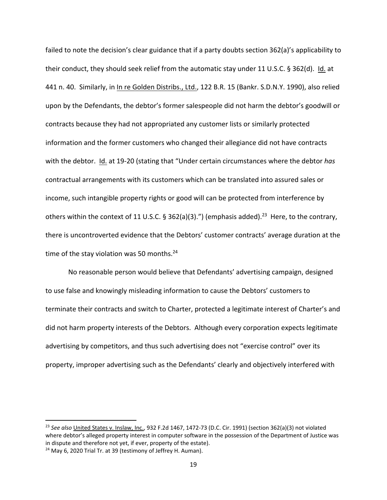failed to note the decision's clear guidance that if a party doubts section 362(a)'s applicability to their conduct, they should seek relief from the automatic stay under 11 U.S.C. § 362(d). Id. at 441 n. 40. Similarly, in In re Golden Distribs., Ltd., 122 B.R. 15 (Bankr. S.D.N.Y. 1990), also relied upon by the Defendants, the debtor's former salespeople did not harm the debtor's goodwill or contracts because they had not appropriated any customer lists or similarly protected information and the former customers who changed their allegiance did not have contracts with the debtor. Id. at 19‐20 (stating that "Under certain circumstances where the debtor *has* contractual arrangements with its customers which can be translated into assured sales or income, such intangible property rights or good will can be protected from interference by others within the context of 11 U.S.C. § 362(a)(3).") (emphasis added).<sup>23</sup> Here, to the contrary, there is uncontroverted evidence that the Debtors' customer contracts' average duration at the time of the stay violation was 50 months. $^{24}$ 

No reasonable person would believe that Defendants' advertising campaign, designed to use false and knowingly misleading information to cause the Debtors' customers to terminate their contracts and switch to Charter, protected a legitimate interest of Charter's and did not harm property interests of the Debtors. Although every corporation expects legitimate advertising by competitors, and thus such advertising does not "exercise control" over its property, improper advertising such as the Defendants' clearly and objectively interfered with

<sup>23</sup> *See also* United States v. Inslaw, Inc., 932 F.2d 1467, 1472‐73 (D.C. Cir. 1991) (section 362(a)(3) not violated where debtor's alleged property interest in computer software in the possession of the Department of Justice was in dispute and therefore not yet, if ever, property of the estate).

<sup>&</sup>lt;sup>24</sup> May 6, 2020 Trial Tr. at 39 (testimony of Jeffrey H. Auman).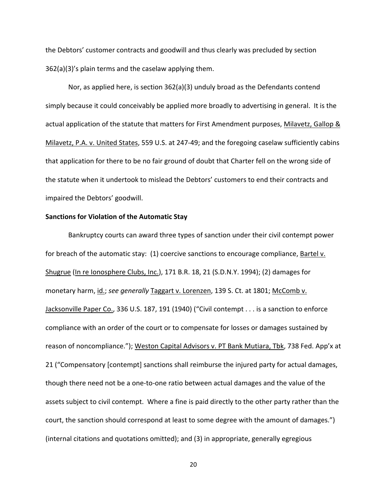the Debtors' customer contracts and goodwill and thus clearly was precluded by section 362(a)(3)'s plain terms and the caselaw applying them.

Nor, as applied here, is section 362(a)(3) unduly broad as the Defendants contend simply because it could conceivably be applied more broadly to advertising in general. It is the actual application of the statute that matters for First Amendment purposes, Milavetz, Gallop & Milavetz, P.A. v. United States, 559 U.S. at 247‐49; and the foregoing caselaw sufficiently cabins that application for there to be no fair ground of doubt that Charter fell on the wrong side of the statute when it undertook to mislead the Debtors' customers to end their contracts and impaired the Debtors' goodwill.

#### **Sanctions for Violation of the Automatic Stay**

Bankruptcy courts can award three types of sanction under their civil contempt power for breach of the automatic stay: (1) coercive sanctions to encourage compliance, Bartel v. Shugrue (In re Ionosphere Clubs, Inc.), 171 B.R. 18, 21 (S.D.N.Y. 1994); (2) damages for monetary harm, id.; *see generally* Taggart v. Lorenzen, 139 S. Ct. at 1801; McComb v. Jacksonville Paper Co., 336 U.S. 187, 191 (1940) ("Civil contempt . . . is a sanction to enforce compliance with an order of the court or to compensate for losses or damages sustained by reason of noncompliance."); Weston Capital Advisors v. PT Bank Mutiara, Tbk, 738 Fed. App'x at 21 ("Compensatory [contempt] sanctions shall reimburse the injured party for actual damages, though there need not be a one‐to‐one ratio between actual damages and the value of the assets subject to civil contempt. Where a fine is paid directly to the other party rather than the court, the sanction should correspond at least to some degree with the amount of damages.") (internal citations and quotations omitted); and (3) in appropriate, generally egregious

20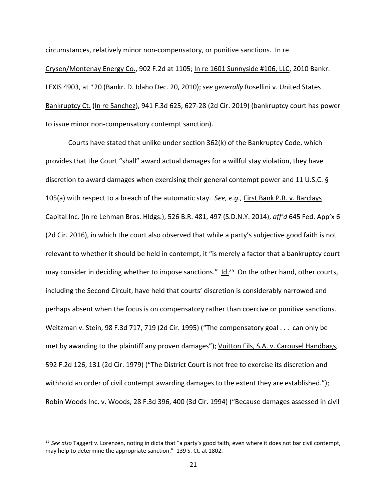circumstances, relatively minor non‐compensatory, or punitive sanctions. In re Crysen/Montenay Energy Co., 902 F.2d at 1105; In re 1601 Sunnyside #106, LLC, 2010 Bankr. LEXIS 4903, at \*20 (Bankr. D. Idaho Dec. 20, 2010); *see generally* Rosellini v. United States Bankruptcy Ct. (In re Sanchez), 941 F.3d 625, 627‐28 (2d Cir. 2019) (bankruptcy court has power to issue minor non‐compensatory contempt sanction).

Courts have stated that unlike under section 362(k) of the Bankruptcy Code, which provides that the Court "shall" award actual damages for a willful stay violation, they have discretion to award damages when exercising their general contempt power and 11 U.S.C. § 105(a) with respect to a breach of the automatic stay. *See, e.g.,* First Bank P.R. v. Barclays Capital Inc. (In re Lehman Bros. Hldgs.), 526 B.R. 481, 497 (S.D.N.Y. 2014), *aff'd* 645 Fed. App'x 6 (2d Cir. 2016), in which the court also observed that while a party's subjective good faith is not relevant to whether it should be held in contempt, it "is merely a factor that a bankruptcy court may consider in deciding whether to impose sanctions." Id.<sup>25</sup> On the other hand, other courts, including the Second Circuit, have held that courts' discretion is considerably narrowed and perhaps absent when the focus is on compensatory rather than coercive or punitive sanctions. Weitzman v. Stein, 98 F.3d 717, 719 (2d Cir. 1995) ("The compensatory goal . . . can only be met by awarding to the plaintiff any proven damages"); Vuitton Fils, S.A. v. Carousel Handbags, 592 F.2d 126, 131 (2d Cir. 1979) ("The District Court is not free to exercise its discretion and withhold an order of civil contempt awarding damages to the extent they are established."); Robin Woods Inc. v. Woods, 28 F.3d 396, 400 (3d Cir. 1994) ("Because damages assessed in civil

<sup>25</sup> *See also* Taggert v. Lorenzen, noting in dicta that "a party's good faith, even where it does not bar civil contempt, may help to determine the appropriate sanction." 139 S. Ct. at 1802.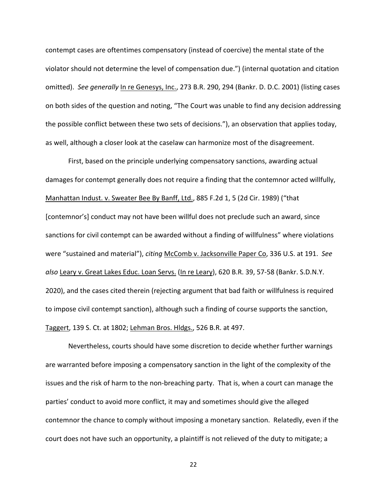contempt cases are oftentimes compensatory (instead of coercive) the mental state of the violator should not determine the level of compensation due.") (internal quotation and citation omitted). *See generally* In re Genesys, Inc., 273 B.R. 290, 294 (Bankr. D. D.C. 2001) (listing cases on both sides of the question and noting, "The Court was unable to find any decision addressing the possible conflict between these two sets of decisions."), an observation that applies today, as well, although a closer look at the caselaw can harmonize most of the disagreement.

First, based on the principle underlying compensatory sanctions, awarding actual damages for contempt generally does not require a finding that the contemnor acted willfully, Manhattan Indust. v. Sweater Bee By Banff, Ltd., 885 F.2d 1, 5 (2d Cir. 1989) ("that [contemnor's] conduct may not have been willful does not preclude such an award, since sanctions for civil contempt can be awarded without a finding of willfulness" where violations were "sustained and material"), *citing* McComb v. Jacksonville Paper Co, 336 U.S. at 191. *See also* Leary v. Great Lakes Educ. Loan Servs. (In re Leary), 620 B.R. 39, 57‐58 (Bankr. S.D.N.Y. 2020), and the cases cited therein (rejecting argument that bad faith or willfulness is required to impose civil contempt sanction), although such a finding of course supports the sanction, Taggert, 139 S. Ct. at 1802; Lehman Bros. Hldgs., 526 B.R. at 497.

Nevertheless, courts should have some discretion to decide whether further warnings are warranted before imposing a compensatory sanction in the light of the complexity of the issues and the risk of harm to the non‐breaching party. That is, when a court can manage the parties' conduct to avoid more conflict, it may and sometimes should give the alleged contemnor the chance to comply without imposing a monetary sanction. Relatedly, even if the court does not have such an opportunity, a plaintiff is not relieved of the duty to mitigate; a

22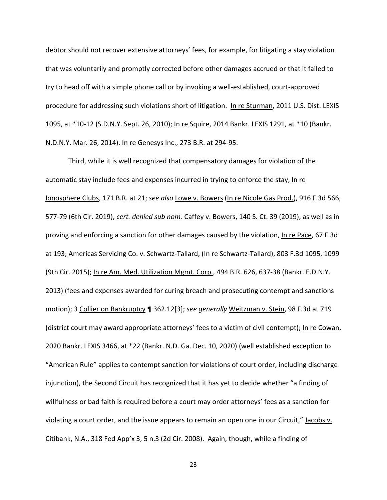debtor should not recover extensive attorneys' fees, for example, for litigating a stay violation that was voluntarily and promptly corrected before other damages accrued or that it failed to try to head off with a simple phone call or by invoking a well‐established, court‐approved procedure for addressing such violations short of litigation. In re Sturman, 2011 U.S. Dist. LEXIS 1095, at \*10-12 (S.D.N.Y. Sept. 26, 2010); In re Squire, 2014 Bankr. LEXIS 1291, at \*10 (Bankr. N.D.N.Y. Mar. 26, 2014). In re Genesys Inc., 273 B.R. at 294‐95.

Third, while it is well recognized that compensatory damages for violation of the automatic stay include fees and expenses incurred in trying to enforce the stay, In re Ionosphere Clubs, 171 B.R. at 21; *see also* Lowe v. Bowers (In re Nicole Gas Prod.), 916 F.3d 566, 577‐79 (6th Cir. 2019), *cert. denied sub nom.* Caffey v. Bowers, 140 S. Ct. 39 (2019), as well as in proving and enforcing a sanction for other damages caused by the violation, In re Pace, 67 F.3d at 193; Americas Servicing Co. v. Schwartz‐Tallard, (In re Schwartz‐Tallard), 803 F.3d 1095, 1099 (9th Cir. 2015); In re Am. Med. Utilization Mgmt. Corp., 494 B.R. 626, 637‐38 (Bankr. E.D.N.Y. 2013) (fees and expenses awarded for curing breach and prosecuting contempt and sanctions motion); 3 Collier on Bankruptcy ¶ 362.12[3]; *see generally* Weitzman v. Stein, 98 F.3d at 719 (district court may award appropriate attorneys' fees to a victim of civil contempt); In re Cowan, 2020 Bankr. LEXIS 3466, at \*22 (Bankr. N.D. Ga. Dec. 10, 2020) (well established exception to "American Rule" applies to contempt sanction for violations of court order, including discharge injunction), the Second Circuit has recognized that it has yet to decide whether "a finding of willfulness or bad faith is required before a court may order attorneys' fees as a sanction for violating a court order, and the issue appears to remain an open one in our Circuit," Jacobs v. Citibank, N.A., 318 Fed App'x 3, 5 n.3 (2d Cir. 2008). Again, though, while a finding of

23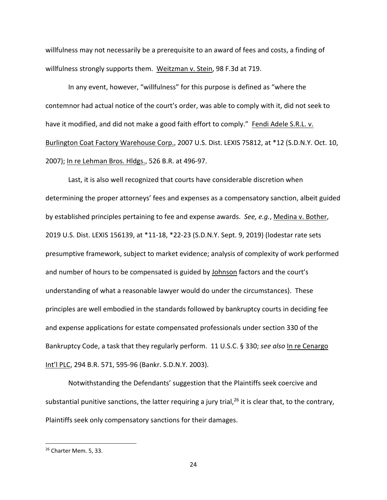willfulness may not necessarily be a prerequisite to an award of fees and costs, a finding of willfulness strongly supports them. Weitzman v. Stein, 98 F.3d at 719.

In any event, however, "willfulness" for this purpose is defined as "where the contemnor had actual notice of the court's order, was able to comply with it, did not seek to have it modified, and did not make a good faith effort to comply." Fendi Adele S.R.L. v. Burlington Coat Factory Warehouse Corp., 2007 U.S. Dist. LEXIS 75812, at \*12 (S.D.N.Y. Oct. 10, 2007); In re Lehman Bros. Hldgs., 526 B.R. at 496‐97.

Last, it is also well recognized that courts have considerable discretion when determining the proper attorneys' fees and expenses as a compensatory sanction, albeit guided by established principles pertaining to fee and expense awards. *See, e.g.*, Medina v. Bother, 2019 U.S. Dist. LEXIS 156139, at \*11‐18, \*22‐23 (S.D.N.Y. Sept. 9, 2019) (lodestar rate sets presumptive framework, subject to market evidence; analysis of complexity of work performed and number of hours to be compensated is guided by Johnson factors and the court's understanding of what a reasonable lawyer would do under the circumstances). These principles are well embodied in the standards followed by bankruptcy courts in deciding fee and expense applications for estate compensated professionals under section 330 of the Bankruptcy Code, a task that they regularly perform. 11 U.S.C. § 330; *see also* In re Cenargo Int'l PLC, 294 B.R. 571, 595‐96 (Bankr. S.D.N.Y. 2003).

Notwithstanding the Defendants' suggestion that the Plaintiffs seek coercive and substantial punitive sanctions, the latter requiring a jury trial,  $26$  it is clear that, to the contrary, Plaintiffs seek only compensatory sanctions for their damages.

<sup>26</sup> Charter Mem. 5, 33.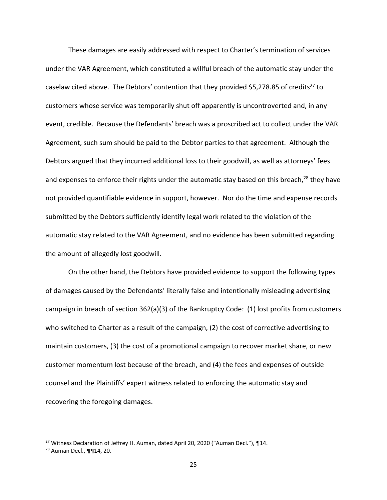These damages are easily addressed with respect to Charter's termination of services under the VAR Agreement, which constituted a willful breach of the automatic stay under the caselaw cited above. The Debtors' contention that they provided \$5,278.85 of credits<sup>27</sup> to customers whose service was temporarily shut off apparently is uncontroverted and, in any event, credible. Because the Defendants' breach was a proscribed act to collect under the VAR Agreement, such sum should be paid to the Debtor parties to that agreement. Although the Debtors argued that they incurred additional loss to their goodwill, as well as attorneys' fees and expenses to enforce their rights under the automatic stay based on this breach,<sup>28</sup> they have not provided quantifiable evidence in support, however. Nor do the time and expense records submitted by the Debtors sufficiently identify legal work related to the violation of the automatic stay related to the VAR Agreement, and no evidence has been submitted regarding the amount of allegedly lost goodwill.

On the other hand, the Debtors have provided evidence to support the following types of damages caused by the Defendants' literally false and intentionally misleading advertising campaign in breach of section 362(a)(3) of the Bankruptcy Code: (1) lost profits from customers who switched to Charter as a result of the campaign, (2) the cost of corrective advertising to maintain customers, (3) the cost of a promotional campaign to recover market share, or new customer momentum lost because of the breach, and (4) the fees and expenses of outside counsel and the Plaintiffs' expert witness related to enforcing the automatic stay and recovering the foregoing damages.

<sup>&</sup>lt;sup>27</sup> Witness Declaration of Jeffrey H. Auman, dated April 20, 2020 ("Auman Decl."),  $\P$ 14.

<sup>28</sup> Auman Decl., ¶¶14, 20.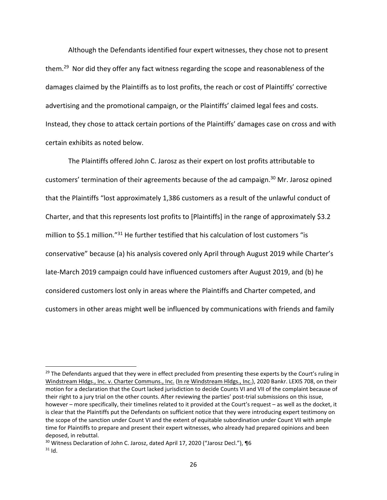Although the Defendants identified four expert witnesses, they chose not to present them.29 Nor did they offer any fact witness regarding the scope and reasonableness of the damages claimed by the Plaintiffs as to lost profits, the reach or cost of Plaintiffs' corrective advertising and the promotional campaign, or the Plaintiffs' claimed legal fees and costs. Instead, they chose to attack certain portions of the Plaintiffs' damages case on cross and with certain exhibits as noted below.

The Plaintiffs offered John C. Jarosz as their expert on lost profits attributable to customers' termination of their agreements because of the ad campaign.<sup>30</sup> Mr. Jarosz opined that the Plaintiffs "lost approximately 1,386 customers as a result of the unlawful conduct of Charter, and that this represents lost profits to [Plaintiffs] in the range of approximately \$3.2 million to \$5.1 million."<sup>31</sup> He further testified that his calculation of lost customers "is conservative" because (a) his analysis covered only April through August 2019 while Charter's late‐March 2019 campaign could have influenced customers after August 2019, and (b) he considered customers lost only in areas where the Plaintiffs and Charter competed, and customers in other areas might well be influenced by communications with friends and family

<sup>&</sup>lt;sup>29</sup> The Defendants argued that they were in effect precluded from presenting these experts by the Court's ruling in Windstream Hldgs., Inc. v. Charter Communs., Inc. (In re Windstream Hldgs., Inc.), 2020 Bankr. LEXIS 708, on their motion for a declaration that the Court lacked jurisdiction to decide Counts VI and VII of the complaint because of their right to a jury trial on the other counts. After reviewing the parties' post‐trial submissions on this issue, however – more specifically, their timelines related to it provided at the Court's request – as well as the docket, it is clear that the Plaintiffs put the Defendants on sufficient notice that they were introducing expert testimony on the scope of the sanction under Count VI and the extent of equitable subordination under Count VII with ample time for Plaintiffs to prepare and present their expert witnesses, who already had prepared opinions and been deposed, in rebuttal.

<sup>30</sup> Witness Declaration of John C. Jarosz, dated April 17, 2020 ("Jarosz Decl."), ¶6  $31$  Id.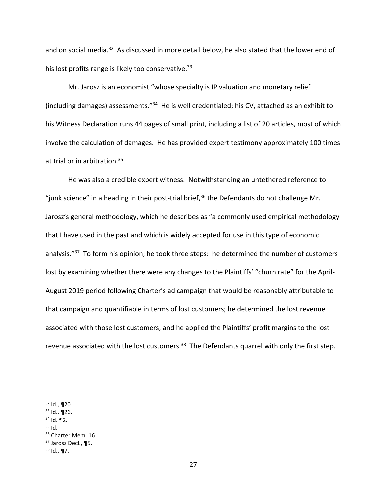and on social media.<sup>32</sup> As discussed in more detail below, he also stated that the lower end of his lost profits range is likely too conservative.<sup>33</sup>

Mr. Jarosz is an economist "whose specialty is IP valuation and monetary relief (including damages) assessments."34 He is well credentialed; his CV, attached as an exhibit to his Witness Declaration runs 44 pages of small print, including a list of 20 articles, most of which involve the calculation of damages. He has provided expert testimony approximately 100 times at trial or in arbitration.<sup>35</sup>

He was also a credible expert witness. Notwithstanding an untethered reference to "junk science" in a heading in their post-trial brief,  $36$  the Defendants do not challenge Mr. Jarosz's general methodology, which he describes as "a commonly used empirical methodology that I have used in the past and which is widely accepted for use in this type of economic analysis."<sup>37</sup> To form his opinion, he took three steps: he determined the number of customers lost by examining whether there were any changes to the Plaintiffs' "churn rate" for the April-August 2019 period following Charter's ad campaign that would be reasonably attributable to that campaign and quantifiable in terms of lost customers; he determined the lost revenue associated with those lost customers; and he applied the Plaintiffs' profit margins to the lost revenue associated with the lost customers.<sup>38</sup> The Defendants quarrel with only the first step.

- $34$  Id. 12.
- <sup>35</sup> Id.

 $32$  Id.,  $\P$ 20

 $33$  Id., ¶26.

<sup>&</sup>lt;sup>36</sup> Charter Mem. 16

<sup>&</sup>lt;sup>37</sup> Jarosz Decl., ¶5.

 $38$  Id., ¶7.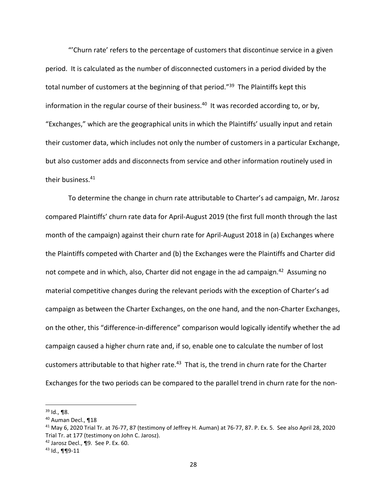"'Churn rate' refers to the percentage of customers that discontinue service in a given period. It is calculated as the number of disconnected customers in a period divided by the total number of customers at the beginning of that period."<sup>39</sup> The Plaintiffs kept this information in the regular course of their business.<sup>40</sup> It was recorded according to, or by, "Exchanges," which are the geographical units in which the Plaintiffs' usually input and retain their customer data, which includes not only the number of customers in a particular Exchange, but also customer adds and disconnects from service and other information routinely used in their business.<sup>41</sup>

To determine the change in churn rate attributable to Charter's ad campaign, Mr. Jarosz compared Plaintiffs' churn rate data for April‐August 2019 (the first full month through the last month of the campaign) against their churn rate for April‐August 2018 in (a) Exchanges where the Plaintiffs competed with Charter and (b) the Exchanges were the Plaintiffs and Charter did not compete and in which, also, Charter did not engage in the ad campaign.<sup>42</sup> Assuming no material competitive changes during the relevant periods with the exception of Charter's ad campaign as between the Charter Exchanges, on the one hand, and the non‐Charter Exchanges, on the other, this "difference‐in‐difference" comparison would logically identify whether the ad campaign caused a higher churn rate and, if so, enable one to calculate the number of lost customers attributable to that higher rate.<sup>43</sup> That is, the trend in churn rate for the Charter Exchanges for the two periods can be compared to the parallel trend in churn rate for the non‐

 $39$  Id., ¶8.

<sup>40</sup> Auman Decl., ¶18

<sup>41</sup> May 6, 2020 Trial Tr. at 76‐77, 87 (testimony of Jeffrey H. Auman) at 76‐77, 87. P. Ex. 5. See also April 28, 2020 Trial Tr. at 177 (testimony on John C. Jarosz).

 $42$  Jarosz Decl., ¶9. See P. Ex. 60.

<sup>43</sup> Id., ¶¶9‐11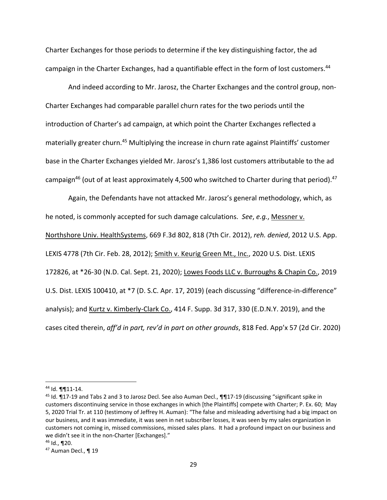Charter Exchanges for those periods to determine if the key distinguishing factor, the ad campaign in the Charter Exchanges, had a quantifiable effect in the form of lost customers.<sup>44</sup>

And indeed according to Mr. Jarosz, the Charter Exchanges and the control group, non‐ Charter Exchanges had comparable parallel churn rates for the two periods until the introduction of Charter's ad campaign, at which point the Charter Exchanges reflected a materially greater churn.<sup>45</sup> Multiplying the increase in churn rate against Plaintiffs' customer base in the Charter Exchanges yielded Mr. Jarosz's 1,386 lost customers attributable to the ad campaign<sup>46</sup> (out of at least approximately 4,500 who switched to Charter during that period).<sup>47</sup>

Again, the Defendants have not attacked Mr. Jarosz's general methodology, which, as he noted, is commonly accepted for such damage calculations. *See*, *e.g.*, Messner v. Northshore Univ. HealthSystems, 669 F.3d 802, 818 (7th Cir. 2012), *reh. denied*, 2012 U.S. App. LEXIS 4778 (7th Cir. Feb. 28, 2012); Smith v. Keurig Green Mt., Inc., 2020 U.S. Dist. LEXIS 172826, at \*26‐30 (N.D. Cal. Sept. 21, 2020); Lowes Foods LLC v. Burroughs & Chapin Co., 2019 U.S. Dist. LEXIS 100410, at \*7 (D. S.C. Apr. 17, 2019) (each discussing "difference-in-difference" analysis); and Kurtz v. Kimberly‐Clark Co., 414 F. Supp. 3d 317, 330 (E.D.N.Y. 2019), and the cases cited therein, *aff'd in part, rev'd in part on other grounds*, 818 Fed. App'x 57 (2d Cir. 2020)

<sup>44</sup> Id. ¶¶11‐14.

<sup>45</sup> Id. ¶17-19 and Tabs 2 and 3 to Jarosz Decl. See also Auman Decl., ¶¶17-19 (discussing "significant spike in customers discontinuing service in those exchanges in which [the Plaintiffs] compete with Charter; P. Ex. 60; May 5, 2020 Trial Tr. at 110 (testimony of Jeffrey H. Auman): "The false and misleading advertising had a big impact on our business, and it was immediate, it was seen in net subscriber losses, it was seen by my sales organization in customers not coming in, missed commissions, missed sales plans. It had a profound impact on our business and we didn't see it in the non-Charter [Exchanges]."

<sup>46</sup> Id., ¶20.

 $47$  Auman Decl., ¶ 19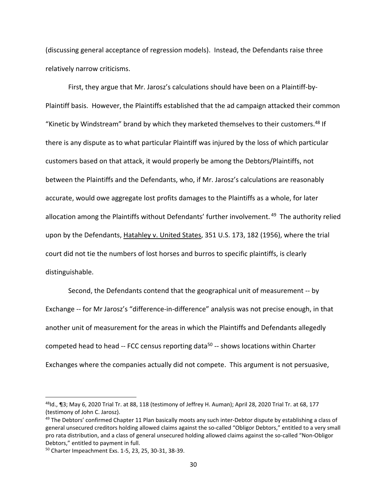(discussing general acceptance of regression models). Instead, the Defendants raise three relatively narrow criticisms.

First, they argue that Mr. Jarosz's calculations should have been on a Plaintiff‐by‐ Plaintiff basis. However, the Plaintiffs established that the ad campaign attacked their common "Kinetic by Windstream" brand by which they marketed themselves to their customers.<sup>48</sup> If there is any dispute as to what particular Plaintiff was injured by the loss of which particular customers based on that attack, it would properly be among the Debtors/Plaintiffs, not between the Plaintiffs and the Defendants, who, if Mr. Jarosz's calculations are reasonably accurate, would owe aggregate lost profits damages to the Plaintiffs as a whole, for later allocation among the Plaintiffs without Defendants' further involvement.<sup>49</sup> The authority relied upon by the Defendants, Hatahley v. United States, 351 U.S. 173, 182 (1956), where the trial court did not tie the numbers of lost horses and burros to specific plaintiffs, is clearly distinguishable.

Second, the Defendants contend that the geographical unit of measurement ‐‐ by Exchange ‐‐ for Mr Jarosz's "difference‐in‐difference" analysis was not precise enough, in that another unit of measurement for the areas in which the Plaintiffs and Defendants allegedly competed head to head -- FCC census reporting data<sup>50</sup> -- shows locations within Charter Exchanges where the companies actually did not compete. This argument is not persuasive,

 $^{48}$ ld., ¶3; May 6, 2020 Trial Tr. at 88, 118 (testimony of Jeffrey H. Auman); April 28, 2020 Trial Tr. at 68, 177 (testimony of John C. Jarosz).

 $49$  The Debtors' confirmed Chapter 11 Plan basically moots any such inter-Debtor dispute by establishing a class of general unsecured creditors holding allowed claims against the so‐called "Obligor Debtors," entitled to a very small pro rata distribution, and a class of general unsecured holding allowed claims against the so‐called "Non‐Obligor Debtors," entitled to payment in full.

<sup>50</sup> Charter Impeachment Exs. 1‐5, 23, 25, 30‐31, 38‐39.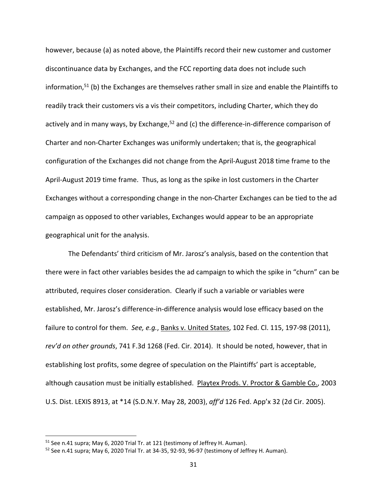however, because (a) as noted above, the Plaintiffs record their new customer and customer discontinuance data by Exchanges, and the FCC reporting data does not include such information,<sup>51</sup> (b) the Exchanges are themselves rather small in size and enable the Plaintiffs to readily track their customers vis a vis their competitors, including Charter, which they do actively and in many ways, by Exchange, $52$  and (c) the difference-in-difference comparison of Charter and non‐Charter Exchanges was uniformly undertaken; that is, the geographical configuration of the Exchanges did not change from the April‐August 2018 time frame to the April‐August 2019 time frame. Thus, as long as the spike in lost customers in the Charter Exchanges without a corresponding change in the non‐Charter Exchanges can be tied to the ad campaign as opposed to other variables, Exchanges would appear to be an appropriate geographical unit for the analysis.

The Defendants' third criticism of Mr. Jarosz's analysis, based on the contention that there were in fact other variables besides the ad campaign to which the spike in "churn" can be attributed, requires closer consideration. Clearly if such a variable or variables were established, Mr. Jarosz's difference‐in‐difference analysis would lose efficacy based on the failure to control for them. *See, e.g.*, Banks v. United States, 102 Fed. Cl. 115, 197‐98 (2011), *rev'd on other grounds*, 741 F.3d 1268 (Fed. Cir. 2014). It should be noted, however, that in establishing lost profits, some degree of speculation on the Plaintiffs' part is acceptable, although causation must be initially established. Playtex Prods. V. Proctor & Gamble Co., 2003 U.S. Dist. LEXIS 8913, at \*14 (S.D.N.Y. May 28, 2003), *aff'd* 126 Fed. App'x 32 (2d Cir. 2005).

<sup>&</sup>lt;sup>51</sup> See n.41 supra; May 6, 2020 Trial Tr. at 121 (testimony of Jeffrey H. Auman).

 $52$  See n.41 supra; May 6, 2020 Trial Tr. at 34-35, 92-93, 96-97 (testimony of Jeffrey H. Auman).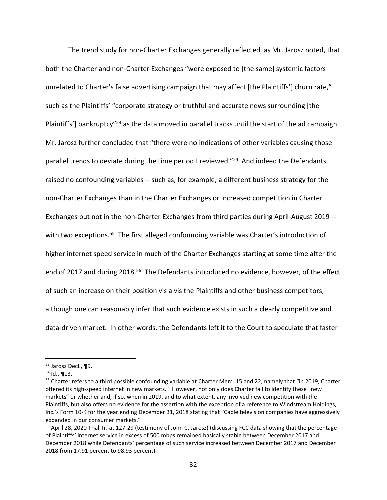The trend study for non‐Charter Exchanges generally reflected, as Mr. Jarosz noted, that both the Charter and non‐Charter Exchanges "were exposed to [the same] systemic factors unrelated to Charter's false advertising campaign that may affect [the Plaintiffs'] churn rate," such as the Plaintiffs' "corporate strategy or truthful and accurate news surrounding [the Plaintiffs'] bankruptcy"<sup>53</sup> as the data moved in parallel tracks until the start of the ad campaign. Mr. Jarosz further concluded that "there were no indications of other variables causing those parallel trends to deviate during the time period I reviewed."<sup>54</sup> And indeed the Defendants raised no confounding variables ‐‐ such as, for example, a different business strategy for the non‐Charter Exchanges than in the Charter Exchanges or increased competition in Charter Exchanges but not in the non‐Charter Exchanges from third parties during April‐August 2019 ‐‐ with two exceptions.<sup>55</sup> The first alleged confounding variable was Charter's introduction of higher internet speed service in much of the Charter Exchanges starting at some time after the end of 2017 and during 2018.<sup>56</sup> The Defendants introduced no evidence, however, of the effect of such an increase on their position vis a vis the Plaintiffs and other business competitors, although one can reasonably infer that such evidence exists in such a clearly competitive and data‐driven market. In other words, the Defendants left it to the Court to speculate that faster

<sup>53</sup> Jarosz Decl., ¶9.

 $54$  Id., ¶13.

<sup>&</sup>lt;sup>55</sup> Charter refers to a third possible confounding variable at Charter Mem. 15 and 22, namely that "in 2019, Charter offered its high‐speed internet in new markets." However, not only does Charter fail to identify these "new markets" or whether and, if so, when in 2019, and to what extent, any involved new competition with the Plaintiffs, but also offers no evidence for the assertion with the exception of a reference to Windstream Holdings, Inc.'s Form 10‐K for the year ending December 31, 2018 stating that "Cable television companies have aggressively expanded in our consumer markets."

<sup>&</sup>lt;sup>56</sup> April 28, 2020 Trial Tr. at 127-29 (testimony of John C. Jarosz) (discussing FCC data showing that the percentage of Plaintiffs' internet service in excess of 500 mbps remained basically stable between December 2017 and December 2018 while Defendants' percentage of such service increased between December 2017 and December 2018 from 17.91 percent to 98.93 percent).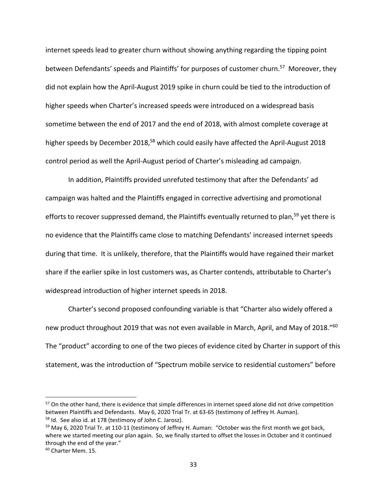internet speeds lead to greater churn without showing anything regarding the tipping point between Defendants' speeds and Plaintiffs' for purposes of customer churn.<sup>57</sup> Moreover, they did not explain how the April‐August 2019 spike in churn could be tied to the introduction of higher speeds when Charter's increased speeds were introduced on a widespread basis sometime between the end of 2017 and the end of 2018, with almost complete coverage at higher speeds by December 2018,<sup>58</sup> which could easily have affected the April-August 2018 control period as well the April‐August period of Charter's misleading ad campaign.

In addition, Plaintiffs provided unrefuted testimony that after the Defendants' ad campaign was halted and the Plaintiffs engaged in corrective advertising and promotional efforts to recover suppressed demand, the Plaintiffs eventually returned to plan,<sup>59</sup> yet there is no evidence that the Plaintiffs came close to matching Defendants' increased internet speeds during that time. It is unlikely, therefore, that the Plaintiffs would have regained their market share if the earlier spike in lost customers was, as Charter contends, attributable to Charter's widespread introduction of higher internet speeds in 2018.

Charter's second proposed confounding variable is that "Charter also widely offered a new product throughout 2019 that was not even available in March, April, and May of 2018."<sup>60</sup> The "product" according to one of the two pieces of evidence cited by Charter in support of this statement, was the introduction of "Spectrum mobile service to residential customers" before

<sup>&</sup>lt;sup>57</sup> On the other hand, there is evidence that simple differences in internet speed alone did not drive competition between Plaintiffs and Defendants. May 6, 2020 Trial Tr. at 63-65 (testimony of Jeffrey H. Auman). <sup>58</sup> Id. See also id. at 178 (testimony of John C. Jarosz).

<sup>&</sup>lt;sup>59</sup> May 6, 2020 Trial Tr. at 110-11 (testimony of Jeffrey H. Auman: "October was the first month we got back, where we started meeting our plan again. So, we finally started to offset the losses in October and it continued through the end of the year."

<sup>60</sup> Charter Mem. 15.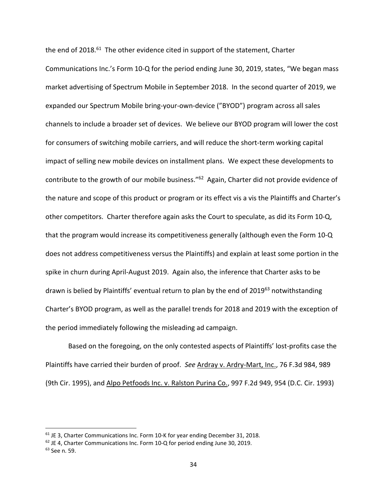the end of  $2018.51$  The other evidence cited in support of the statement, Charter Communications Inc.'s Form 10‐Q for the period ending June 30, 2019, states, "We began mass market advertising of Spectrum Mobile in September 2018. In the second quarter of 2019, we expanded our Spectrum Mobile bring‐your‐own‐device ("BYOD") program across all sales channels to include a broader set of devices. We believe our BYOD program will lower the cost for consumers of switching mobile carriers, and will reduce the short-term working capital impact of selling new mobile devices on installment plans. We expect these developments to contribute to the growth of our mobile business."62 Again, Charter did not provide evidence of the nature and scope of this product or program or its effect vis a vis the Plaintiffs and Charter's other competitors. Charter therefore again asks the Court to speculate, as did its Form 10‐Q, that the program would increase its competitiveness generally (although even the Form 10‐Q does not address competitiveness versus the Plaintiffs) and explain at least some portion in the spike in churn during April‐August 2019. Again also, the inference that Charter asks to be drawn is belied by Plaintiffs' eventual return to plan by the end of 2019<sup>63</sup> notwithstanding Charter's BYOD program, as well as the parallel trends for 2018 and 2019 with the exception of the period immediately following the misleading ad campaign.

Based on the foregoing, on the only contested aspects of Plaintiffs' lost-profits case the Plaintiffs have carried their burden of proof. *See* Ardray v. Ardry‐Mart, Inc., 76 F.3d 984, 989 (9th Cir. 1995), and Alpo Petfoods Inc. v. Ralston Purina Co., 997 F.2d 949, 954 (D.C. Cir. 1993)

<sup>&</sup>lt;sup>61</sup> JE 3, Charter Communications Inc. Form 10-K for year ending December 31, 2018.

<sup>62</sup> JE 4, Charter Communications Inc. Form 10‐Q for period ending June 30, 2019.

<sup>63</sup> See n. 59.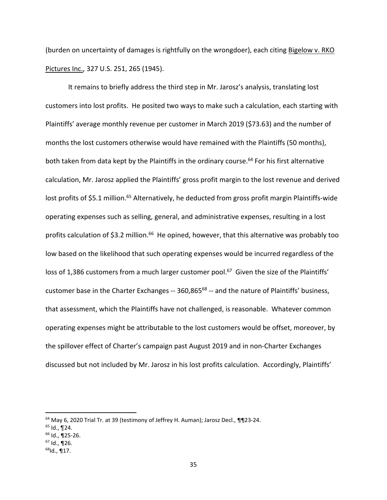(burden on uncertainty of damages is rightfully on the wrongdoer), each citing Bigelow v. RKO Pictures Inc., 327 U.S. 251, 265 (1945).

It remains to briefly address the third step in Mr. Jarosz's analysis, translating lost customers into lost profits. He posited two ways to make such a calculation, each starting with Plaintiffs' average monthly revenue per customer in March 2019 (\$73.63) and the number of months the lost customers otherwise would have remained with the Plaintiffs (50 months), both taken from data kept by the Plaintiffs in the ordinary course.<sup>64</sup> For his first alternative calculation, Mr. Jarosz applied the Plaintiffs' gross profit margin to the lost revenue and derived lost profits of \$5.1 million.<sup>65</sup> Alternatively, he deducted from gross profit margin Plaintiffs-wide operating expenses such as selling, general, and administrative expenses, resulting in a lost profits calculation of \$3.2 million.<sup>66</sup> He opined, however, that this alternative was probably too low based on the likelihood that such operating expenses would be incurred regardless of the loss of 1,386 customers from a much larger customer pool.<sup>67</sup> Given the size of the Plaintiffs' customer base in the Charter Exchanges -- 360,865<sup>68</sup> -- and the nature of Plaintiffs' business, that assessment, which the Plaintiffs have not challenged, is reasonable. Whatever common operating expenses might be attributable to the lost customers would be offset, moreover, by the spillover effect of Charter's campaign past August 2019 and in non‐Charter Exchanges discussed but not included by Mr. Jarosz in his lost profits calculation. Accordingly, Plaintiffs'

<sup>&</sup>lt;sup>64</sup> May 6, 2020 Trial Tr. at 39 (testimony of Jeffrey H. Auman); Jarosz Decl., ¶¶23-24.

 $65$  Id.,  $\P$ 24.

 $66$  Id., 125-26.

 $67$  Id., ¶26.

 $68$ Id., ¶17.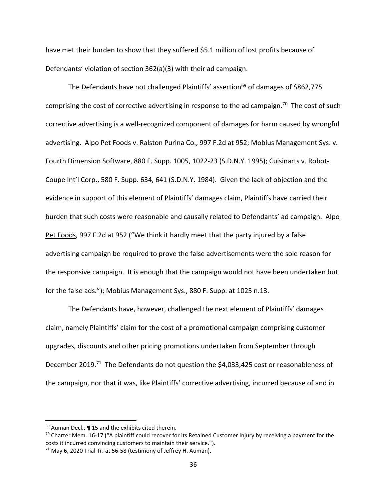have met their burden to show that they suffered \$5.1 million of lost profits because of Defendants' violation of section 362(a)(3) with their ad campaign.

The Defendants have not challenged Plaintiffs' assertion<sup>69</sup> of damages of \$862,775 comprising the cost of corrective advertising in response to the ad campaign.<sup>70</sup> The cost of such corrective advertising is a well‐recognized component of damages for harm caused by wrongful advertising. Alpo Pet Foods v. Ralston Purina Co., 997 F.2d at 952; Mobius Management Sys. v. Fourth Dimension Software, 880 F. Supp. 1005, 1022‐23 (S.D.N.Y. 1995); Cuisinarts v. Robot‐ Coupe Int'l Corp., 580 F. Supp. 634, 641 (S.D.N.Y. 1984). Given the lack of objection and the evidence in support of this element of Plaintiffs' damages claim, Plaintiffs have carried their burden that such costs were reasonable and causally related to Defendants' ad campaign. Alpo Pet Foods, 997 F.2d at 952 ("We think it hardly meet that the party injured by a false advertising campaign be required to prove the false advertisements were the sole reason for the responsive campaign. It is enough that the campaign would not have been undertaken but for the false ads."); Mobius Management Sys., 880 F. Supp. at 1025 n.13.

The Defendants have, however, challenged the next element of Plaintiffs' damages claim, namely Plaintiffs' claim for the cost of a promotional campaign comprising customer upgrades, discounts and other pricing promotions undertaken from September through December 2019.<sup>71</sup> The Defendants do not question the \$4,033,425 cost or reasonableness of the campaign, nor that it was, like Plaintiffs' corrective advertising, incurred because of and in

<sup>69</sup> Auman Decl., ¶ 15 and the exhibits cited therein.

 $70$  Charter Mem. 16-17 ("A plaintiff could recover for its Retained Customer Injury by receiving a payment for the costs it incurred convincing customers to maintain their service.").

<sup>71</sup> May 6, 2020 Trial Tr. at 56‐58 (testimony of Jeffrey H. Auman).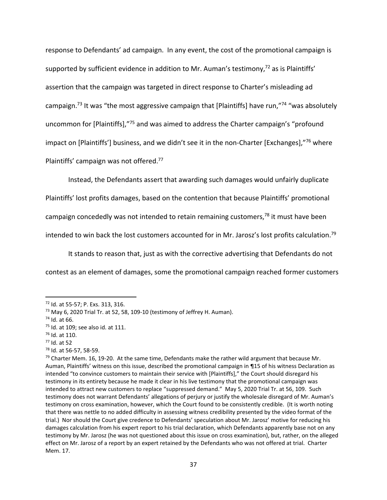response to Defendants' ad campaign. In any event, the cost of the promotional campaign is supported by sufficient evidence in addition to Mr. Auman's testimony,<sup>72</sup> as is Plaintiffs' assertion that the campaign was targeted in direct response to Charter's misleading ad campaign.<sup>73</sup> It was "the most aggressive campaign that [Plaintiffs] have run,"<sup>74</sup> "was absolutely uncommon for [Plaintiffs],"75 and was aimed to address the Charter campaign's "profound impact on [Plaintiffs'] business, and we didn't see it in the non-Charter [Exchanges],"76 where Plaintiffs' campaign was not offered.<sup>77</sup>

Instead, the Defendants assert that awarding such damages would unfairly duplicate Plaintiffs' lost profits damages, based on the contention that because Plaintiffs' promotional campaign concededly was not intended to retain remaining customers, $78$  it must have been intended to win back the lost customers accounted for in Mr. Jarosz's lost profits calculation.<sup>79</sup>

It stands to reason that, just as with the corrective advertising that Defendants do not contest as an element of damages, some the promotional campaign reached former customers

<sup>72</sup> Id. at 55‐57; P. Exs. 313, 316.

<sup>&</sup>lt;sup>73</sup> May 6, 2020 Trial Tr. at 52, 58, 109-10 (testimony of Jeffrey H. Auman).

<sup>74</sup> Id. at 66.

<sup>75</sup> Id. at 109; see also id. at 111.

<sup>76</sup> Id. at 110.

<sup>77</sup> Id. at 52

<sup>78</sup> Id. at 56‐57, 58‐59.

 $79$  Charter Mem. 16, 19-20. At the same time, Defendants make the rather wild argument that because Mr. Auman, Plaintiffs' witness on this issue, described the promotional campaign in ¶15 of his witness Declaration as intended "to convince customers to maintain their service with [Plaintiffs]," the Court should disregard his testimony in its entirety because he made it clear in his live testimony that the promotional campaign was intended to attract new customers to replace "suppressed demand." May 5, 2020 Trial Tr. at 56, 109. Such testimony does not warrant Defendants' allegations of perjury or justify the wholesale disregard of Mr. Auman's testimony on cross examination, however, which the Court found to be consistently credible. (It is worth noting that there was nettle to no added difficulty in assessing witness credibility presented by the video format of the trial.) Nor should the Court give credence to Defendants' speculation about Mr. Jarosz' motive for reducing his damages calculation from his expert report to his trial declaration, which Defendants apparently base not on any testimony by Mr. Jarosz (he was not questioned about this issue on cross examination), but, rather, on the alleged effect on Mr. Jarosz of a report by an expert retained by the Defendants who was not offered at trial. Charter Mem. 17.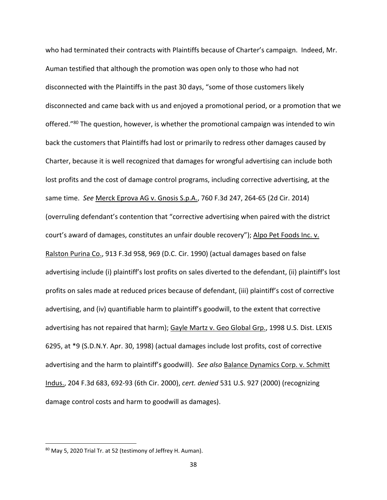who had terminated their contracts with Plaintiffs because of Charter's campaign. Indeed, Mr. Auman testified that although the promotion was open only to those who had not disconnected with the Plaintiffs in the past 30 days, "some of those customers likely disconnected and came back with us and enjoyed a promotional period, or a promotion that we offered."<sup>80</sup> The question, however, is whether the promotional campaign was intended to win back the customers that Plaintiffs had lost or primarily to redress other damages caused by Charter, because it is well recognized that damages for wrongful advertising can include both lost profits and the cost of damage control programs, including corrective advertising, at the same time. *See* Merck Eprova AG v. Gnosis S.p.A., 760 F.3d 247, 264‐65 (2d Cir. 2014) (overruling defendant's contention that "corrective advertising when paired with the district court's award of damages, constitutes an unfair double recovery"); Alpo Pet Foods Inc. v. Ralston Purina Co., 913 F.3d 958, 969 (D.C. Cir. 1990) (actual damages based on false advertising include (i) plaintiff's lost profits on sales diverted to the defendant, (ii) plaintiff's lost profits on sales made at reduced prices because of defendant, (iii) plaintiff's cost of corrective advertising, and (iv) quantifiable harm to plaintiff's goodwill, to the extent that corrective advertising has not repaired that harm); Gayle Martz v. Geo Global Grp., 1998 U.S. Dist. LEXIS 6295, at \*9 (S.D.N.Y. Apr. 30, 1998) (actual damages include lost profits, cost of corrective advertising and the harm to plaintiff's goodwill). *See also* Balance Dynamics Corp. v. Schmitt Indus., 204 F.3d 683, 692‐93 (6th Cir. 2000), *cert. denied* 531 U.S. 927 (2000) (recognizing damage control costs and harm to goodwill as damages).

<sup>80</sup> May 5, 2020 Trial Tr. at 52 (testimony of Jeffrey H. Auman).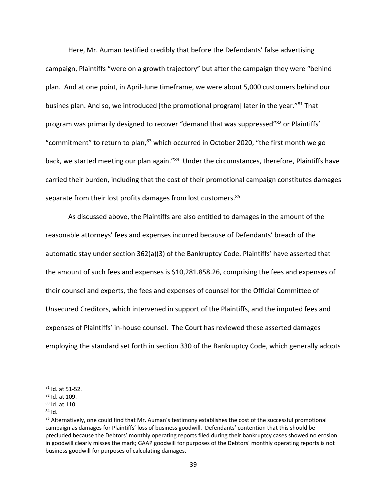Here, Mr. Auman testified credibly that before the Defendants' false advertising campaign, Plaintiffs "were on a growth trajectory" but after the campaign they were "behind plan. And at one point, in April‐June timeframe, we were about 5,000 customers behind our busines plan. And so, we introduced [the promotional program] later in the year."<sup>81</sup> That program was primarily designed to recover "demand that was suppressed"<sup>82</sup> or Plaintiffs' "commitment" to return to plan, $^{83}$  which occurred in October 2020, "the first month we go back, we started meeting our plan again."<sup>84</sup> Under the circumstances, therefore, Plaintiffs have carried their burden, including that the cost of their promotional campaign constitutes damages separate from their lost profits damages from lost customers.<sup>85</sup>

As discussed above, the Plaintiffs are also entitled to damages in the amount of the reasonable attorneys' fees and expenses incurred because of Defendants' breach of the automatic stay under section 362(a)(3) of the Bankruptcy Code. Plaintiffs' have asserted that the amount of such fees and expenses is \$10,281.858.26, comprising the fees and expenses of their counsel and experts, the fees and expenses of counsel for the Official Committee of Unsecured Creditors, which intervened in support of the Plaintiffs, and the imputed fees and expenses of Plaintiffs' in‐house counsel. The Court has reviewed these asserted damages employing the standard set forth in section 330 of the Bankruptcy Code, which generally adopts

<sup>81</sup> Id. at 51‐52.

<sup>82</sup> Id. at 109.

<sup>83</sup> Id. at 110

 $84$  Id.

<sup>&</sup>lt;sup>85</sup> Alternatively, one could find that Mr. Auman's testimony establishes the cost of the successful promotional campaign as damages for Plaintiffs' loss of business goodwill. Defendants' contention that this should be precluded because the Debtors' monthly operating reports filed during their bankruptcy cases showed no erosion in goodwill clearly misses the mark; GAAP goodwill for purposes of the Debtors' monthly operating reports is not business goodwill for purposes of calculating damages.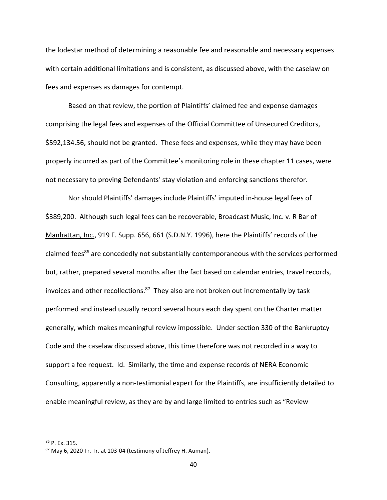the lodestar method of determining a reasonable fee and reasonable and necessary expenses with certain additional limitations and is consistent, as discussed above, with the caselaw on fees and expenses as damages for contempt.

Based on that review, the portion of Plaintiffs' claimed fee and expense damages comprising the legal fees and expenses of the Official Committee of Unsecured Creditors, \$592,134.56, should not be granted. These fees and expenses, while they may have been properly incurred as part of the Committee's monitoring role in these chapter 11 cases, were not necessary to proving Defendants' stay violation and enforcing sanctions therefor.

Nor should Plaintiffs' damages include Plaintiffs' imputed in‐house legal fees of \$389,200. Although such legal fees can be recoverable, Broadcast Music, Inc. v. R Bar of Manhattan, Inc., 919 F. Supp. 656, 661 (S.D.N.Y. 1996), here the Plaintiffs' records of the claimed fees<sup>86</sup> are concededly not substantially contemporaneous with the services performed but, rather, prepared several months after the fact based on calendar entries, travel records, invoices and other recollections. $87$  They also are not broken out incrementally by task performed and instead usually record several hours each day spent on the Charter matter generally, which makes meaningful review impossible. Under section 330 of the Bankruptcy Code and the caselaw discussed above, this time therefore was not recorded in a way to support a fee request. Id. Similarly, the time and expense records of NERA Economic Consulting, apparently a non‐testimonial expert for the Plaintiffs, are insufficiently detailed to enable meaningful review, as they are by and large limited to entries such as "Review

<sup>86</sup> P. Ex. 315.

<sup>87</sup> May 6, 2020 Tr. Tr. at 103-04 (testimony of Jeffrey H. Auman).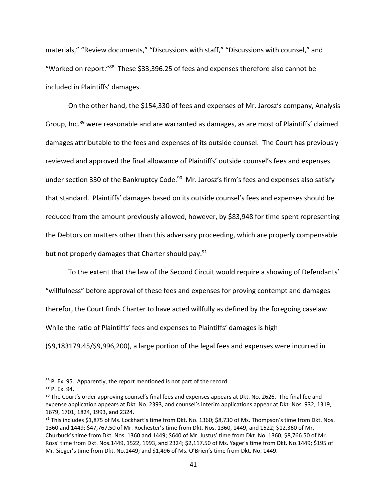materials," "Review documents," "Discussions with staff," "Discussions with counsel," and "Worked on report."88 These \$33,396.25 of fees and expenses therefore also cannot be included in Plaintiffs' damages.

On the other hand, the \$154,330 of fees and expenses of Mr. Jarosz's company, Analysis Group, Inc.<sup>89</sup> were reasonable and are warranted as damages, as are most of Plaintiffs' claimed damages attributable to the fees and expenses of its outside counsel. The Court has previously reviewed and approved the final allowance of Plaintiffs' outside counsel's fees and expenses under section 330 of the Bankruptcy Code.<sup>90</sup> Mr. Jarosz's firm's fees and expenses also satisfy that standard. Plaintiffs' damages based on its outside counsel's fees and expenses should be reduced from the amount previously allowed, however, by \$83,948 for time spent representing the Debtors on matters other than this adversary proceeding, which are properly compensable but not properly damages that Charter should pay.<sup>91</sup>

To the extent that the law of the Second Circuit would require a showing of Defendants'

"willfulness" before approval of these fees and expenses for proving contempt and damages

therefor, the Court finds Charter to have acted willfully as defined by the foregoing caselaw.

While the ratio of Plaintiffs' fees and expenses to Plaintiffs' damages is high

(\$9,183179.45/\$9,996,200), a large portion of the legal fees and expenses were incurred in

 $88$  P. Ex. 95. Apparently, the report mentioned is not part of the record.

<sup>89</sup> P. Ex. 94.

 $90$  The Court's order approving counsel's final fees and expenses appears at Dkt. No. 2626. The final fee and expense application appears at Dkt. No. 2393, and counsel's interim applications appear at Dkt. Nos. 932, 1319, 1679, 1701, 1824, 1993, and 2324.

 $91$  This includes \$1,875 of Ms. Lockhart's time from Dkt. No. 1360; \$8,730 of Ms. Thompson's time from Dkt. Nos. 1360 and 1449; \$47,767.50 of Mr. Rochester's time from Dkt. Nos. 1360, 1449, and 1522; \$12,360 of Mr. Churbuck's time from Dkt. Nos. 1360 and 1449; \$640 of Mr. Justus' time from Dkt. No. 1360; \$8,766.50 of Mr. Ross' time from Dkt. Nos.1449, 1522, 1993, and 2324; \$2,117.50 of Ms. Yager's time from Dkt. No.1449; \$195 of Mr. Sieger's time from Dkt. No.1449; and \$1,496 of Ms. O'Brien's time from Dkt. No. 1449.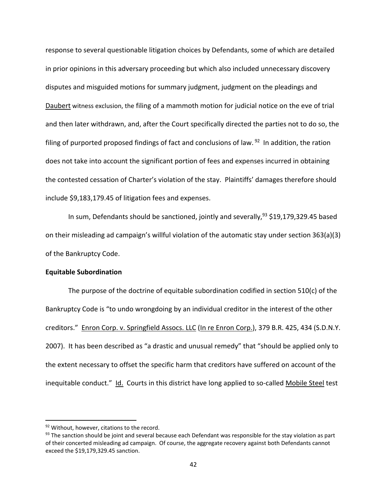response to several questionable litigation choices by Defendants, some of which are detailed in prior opinions in this adversary proceeding but which also included unnecessary discovery disputes and misguided motions for summary judgment, judgment on the pleadings and Daubert witness exclusion, the filing of a mammoth motion for judicial notice on the eve of trial and then later withdrawn, and, after the Court specifically directed the parties not to do so, the filing of purported proposed findings of fact and conclusions of law.  $92$  In addition, the ration does not take into account the significant portion of fees and expenses incurred in obtaining the contested cessation of Charter's violation of the stay. Plaintiffs' damages therefore should include \$9,183,179.45 of litigation fees and expenses.

In sum, Defendants should be sanctioned, jointly and severally,  $93$  \$19,179,329.45 based on their misleading ad campaign's willful violation of the automatic stay under section 363(a)(3) of the Bankruptcy Code.

## **Equitable Subordination**

The purpose of the doctrine of equitable subordination codified in section 510(c) of the Bankruptcy Code is "to undo wrongdoing by an individual creditor in the interest of the other creditors." Enron Corp. v. Springfield Assocs. LLC (In re Enron Corp.), 379 B.R. 425, 434 (S.D.N.Y. 2007). It has been described as "a drastic and unusual remedy" that "should be applied only to the extent necessary to offset the specific harm that creditors have suffered on account of the inequitable conduct." Id. Courts in this district have long applied to so-called Mobile Steel test

<sup>92</sup> Without, however, citations to the record.

 $93$  The sanction should be joint and several because each Defendant was responsible for the stay violation as part of their concerted misleading ad campaign. Of course, the aggregate recovery against both Defendants cannot exceed the \$19,179,329.45 sanction.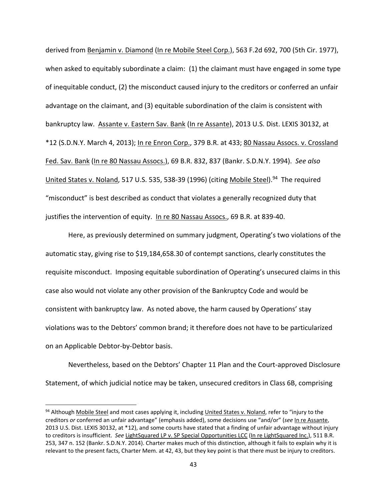derived from Benjamin v. Diamond (In re Mobile Steel Corp.), 563 F.2d 692, 700 (5th Cir. 1977), when asked to equitably subordinate a claim: (1) the claimant must have engaged in some type of inequitable conduct, (2) the misconduct caused injury to the creditors or conferred an unfair advantage on the claimant, and (3) equitable subordination of the claim is consistent with bankruptcy law. Assante v. Eastern Sav. Bank (In re Assante), 2013 U.S. Dist. LEXIS 30132, at \*12 (S.D.N.Y. March 4, 2013); In re Enron Corp., 379 B.R. at 433; 80 Nassau Assocs. v. Crossland Fed. Sav. Bank (In re 80 Nassau Assocs.), 69 B.R. 832, 837 (Bankr. S.D.N.Y. 1994). *See also* United States v. Noland, 517 U.S. 535, 538-39 (1996) (citing Mobile Steel).<sup>94</sup> The required "misconduct" is best described as conduct that violates a generally recognized duty that justifies the intervention of equity. In re 80 Nassau Assocs., 69 B.R. at 839‐40.

Here, as previously determined on summary judgment, Operating's two violations of the automatic stay, giving rise to \$19,184,658.30 of contempt sanctions, clearly constitutes the requisite misconduct. Imposing equitable subordination of Operating's unsecured claims in this case also would not violate any other provision of the Bankruptcy Code and would be consistent with bankruptcy law. As noted above, the harm caused by Operations' stay violations was to the Debtors' common brand; it therefore does not have to be particularized on an Applicable Debtor‐by‐Debtor basis.

Nevertheless, based on the Debtors' Chapter 11 Plan and the Court‐approved Disclosure Statement, of which judicial notice may be taken, unsecured creditors in Class 6B, comprising

<sup>94</sup> Although Mobile Steel and most cases applying it, including United States v. Noland, refer to "injury to the creditors *or* conferred an unfair advantage" (emphasis added), some decisions use "and/or" (*see* In re Assante, 2013 U.S. Dist. LEXIS 30132, at \*12), and some courts have stated that a finding of unfair advantage without injury to creditors is insufficient. *See* LightSquared LP v. SP Special Opportunities LCC (In re LightSquared Inc.), 511 B.R. 253, 347 n. 152 (Bankr. S.D.N.Y. 2014). Charter makes much of this distinction, although it fails to explain why it is relevant to the present facts, Charter Mem. at 42, 43, but they key point is that there must be injury to creditors.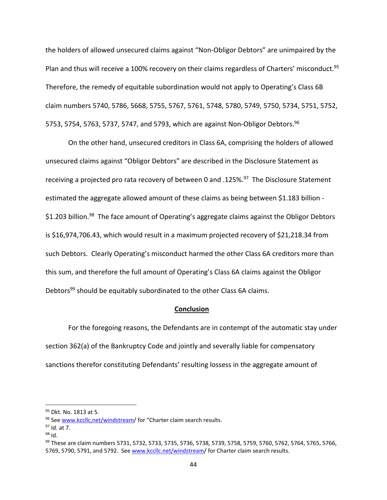the holders of allowed unsecured claims against "Non‐Obligor Debtors" are unimpaired by the Plan and thus will receive a 100% recovery on their claims regardless of Charters' misconduct.<sup>95</sup> Therefore, the remedy of equitable subordination would not apply to Operating's Class 6B claim numbers 5740, 5786, 5668, 5755, 5767, 5761, 5748, 5780, 5749, 5750, 5734, 5751, 5752, 5753, 5754, 5763, 5737, 5747, and 5793, which are against Non-Obligor Debtors.<sup>96</sup>

On the other hand, unsecured creditors in Class 6A, comprising the holders of allowed unsecured claims against "Obligor Debtors" are described in the Disclosure Statement as receiving a projected pro rata recovery of between 0 and .125%.<sup>97</sup> The Disclosure Statement estimated the aggregate allowed amount of these claims as being between \$1.183 billion ‐ \$1.203 billion.<sup>98</sup> The face amount of Operating's aggregate claims against the Obligor Debtors is \$16,974,706.43, which would result in a maximum projected recovery of \$21,218.34 from such Debtors. Clearly Operating's misconduct harmed the other Class 6A creditors more than this sum, and therefore the full amount of Operating's Class 6A claims against the Obligor Debtors<sup>99</sup> should be equitably subordinated to the other Class 6A claims.

## **Conclusion**

For the foregoing reasons, the Defendants are in contempt of the automatic stay under section 362(a) of the Bankruptcy Code and jointly and severally liable for compensatory sanctions therefor constituting Defendants' resulting lossess in the aggregate amount of

<sup>&</sup>lt;sup>95</sup> Dkt. No. 1813 at 5.

<sup>96</sup> See www.kccllc,net/windstream/ for "Charter claim search results.

<sup>97</sup> Id. at 7.

 $98$  Id.

<sup>99</sup> These are claim numbers 5731, 5732, 5733, 5735, 5736, 5738, 5739, 5758, 5759, 5760, 5762, 5764, 5765, 5766, 5769, 5790, 5791, and 5792. See www.kccllc.net/windstream/ for Charter claim search results.